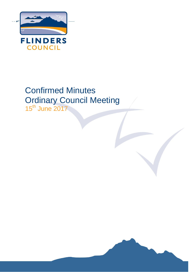

# Confirmed Minutes Ordinary Council Meeting

15th June 2017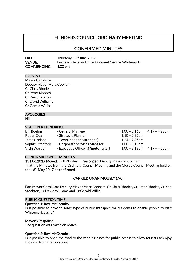# FLINDERS COUNCIL ORDINARY MEETING

CONFIRMED MINUTES

| DATE:              | Thursday 15 <sup>th</sup> June 2017                      |
|--------------------|----------------------------------------------------------|
| <b>VENUE:</b>      | <b>Furneaux Arts and Entertainment Centre, Whitemark</b> |
| <b>COMMENCING:</b> | 1.00 pm                                                  |

#### PRESENT

Mayor Carol Cox Deputy Mayor Marc Cobham Cr Chris Rhodes Cr Peter Rhodes Cr Ken Stockton Cr David Williams Cr Gerald Willis

#### **APOLOGIES**

Nil

#### STAFF IN ATTENDANCE

Robyn Cox - Strategic Planner 1.10 - 2.35pm James Ireland - Town Planner (via phone) 1.24 - 2.35pm Sophie Pitchford - Corporate Services Manager 1.00 – 3.18pm

- Vicki Warden Executive Officer (Minute Taker) 1.00 3.18pm 4.17 4.22pm
- Bill Boehm General Manager 1.00 3.16pm 4.17 4.22pm

# CONFIRMATION OF MINUTES

131.06.2017 Moved: Cr P Rhodes Seconded: Deputy Mayor M Cobham That the Minutes from the Ordinary Council Meeting and the Closed Council Meeting held on the 18<sup>th</sup> May 2017 be confirmed.

# CARRIED UNANIMOUSLY (7-0)

For: Mayor Carol Cox, Deputy Mayor Marc Cobham, Cr Chris Rhodes, Cr Peter Rhodes, Cr Ken Stockton, Cr David Williams and Cr Gerald Willis.

#### PUBLIC QUESTION TIME

#### Question 1: Roy McCormick

Is it possible to provide some type of public transport for residents to enable people to visit Whitemark easily?

#### Mayor's Response

The question was taken on notice.

#### Question 2: Roy McCormick

Is it possible to open the road to the wind turbines for public access to allow tourists to enjoy the view from that location?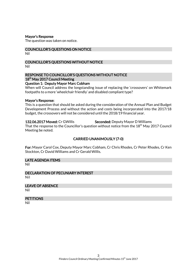#### Mayor's Response

The question was taken on notice.

# COUNCILLOR'S QUESTIONS ON NOTICE

Nil

# COUNCILLOR'S QUESTIONS WITHOUT NOTICE

Nil

# RESPONSE TO COUNCILLOR'S QUESTIONS WITHOUT NOTICE 18<sup>th</sup> May 2017 Council Meeting

Question 1: Deputy Mayor Marc Cobham

When will Council address the longstanding issue of replacing the 'crossovers' on Whitemark footpaths to a more 'wheelchair friendly' and disabled compliant type?

#### Mayor's Response:

This is a question that should be asked during the consideration of the Annual Plan and Budget Development Process and without the action and costs being incorporated into the 2017/18 budget, the crossovers will not be considered until the 2018/19 financial year.

#### 132.06.2017 Moved: Cr GWillis Seconded: Deputy Mayor D Williams

That the response to the Councillor's question without notice from the  $18<sup>th</sup>$  May 2017 Council Meeting be noted.

# CARRIED UNANIMOUSLY (7-0)

For: Mayor Carol Cox, Deputy Mayor Marc Cobham, Cr Chris Rhodes, Cr Peter Rhodes, Cr Ken Stockton, Cr David Williams and Cr Gerald Willis.

#### LATE AGENDA ITEMS

Nil

#### DECLARATION OF PECUNIARY INTEREST Nil

LEAVE OF ABSENCE Nil

#### **PETITIONS**

Nil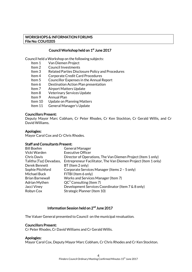# WORKSHOPS & INFORMATION FORUMS File No: COU/0205

# Council Workshop held on 1<sup>st</sup> June 2017

Council held a Workshop on the following subjects:

- Item 1 Van Diemen Project
- Item 2 Council Investments
- Item 3 Related Parties Disclosure Policy and Procedures
- Item 4 Corporate Credit Card Procedures
- Item 5 Councillor Expenses in the Annual Report
- Item 6 Destination Action Plan presentation
- Item 7 Airport Matters Update
- Item 8 Veterinary Services Update
- Item 9 Annual Plan
- Item 10 Update on Planning Matters
- Item 11 General Manager's Update

#### Councillors Present:

Deputy Mayor Marc Cobham, Cr Peter Rhodes, Cr Ken Stockton, Cr Gerald Willis, and Cr David Williams.

#### Apologies:

Mayor Carol Cox and Cr Chris Rhodes.

#### Staff and Consultants Present:

| <b>General Manager</b>                                         |
|----------------------------------------------------------------|
| <b>Executive Officer</b>                                       |
| Director of Operations, The Van Diemen Project (Item 1 only)   |
| Entrepreneur Facilitator, The Van Diemen Project (Item 1 only) |
| BT (Item 2 only)                                               |
| Corporate Services Manager (Items 2 - 5 only)                  |
| FITBI (Item 6 only)                                            |
| Works and Services Manager (Item 7)                            |
| $QC3$ Consulting (Item 7)                                      |
| Development Services Coordinator (Item 7 & 8 only)             |
| <b>Strategic Planner (Item 10)</b>                             |
|                                                                |

#### Information Session held on 2<sup>nd</sup> June 2017

The Valuer General presented to Council on the municipal revaluation.

#### Councillors Present:

Cr Peter Rhodes, Cr David Williams and Cr Gerald Willis.

#### Apologies:

Mayor Carol Cox, Deputy Mayor Marc Cobham, Cr Chris Rhodes and Cr Ken Stockton.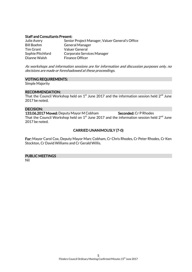#### Staff and Consultants Present:

| Julie Avery      | Senior Project Manager, Valuer General's Office |
|------------------|-------------------------------------------------|
| Bill Boehm       | <b>General Manager</b>                          |
| <b>Tim Grant</b> | Valuer General                                  |
| Sophie Pitchford | Corporate Services Manager                      |
| Dianne Walsh     | <b>Finance Officer</b>                          |

As workshops and information sessions are for information and discussion purposes only, no decisions are made or foreshadowed at these proceedings.

#### VOTING REQUIREMENTS:

Simple Majority

#### RECOMMENDATION:

That the Council Workshop held on  $1^\text{st}$  June 2017 and the information session held  $2^\text{nd}$  June 2017 be noted.

#### DECISION:

133.06.2017 Moved: Deputy Mayor M Cobham Seconded: Cr P Rhodes That the Council Workshop held on  $1^\text{st}$  June 2017 and the information session held  $2^\text{nd}$  June 2017 be noted.

# CARRIED UNANIMOUSLY (7-0)

For: Mayor Carol Cox, Deputy Mayor Marc Cobham, Cr Chris Rhodes, Cr Peter Rhodes, Cr Ken Stockton, Cr David Williams and Cr Gerald Willis.

# PUBLIC MEETINGS

Nil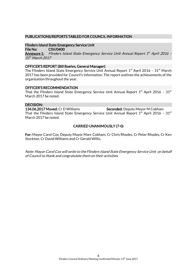### PUBLICATIONS/REPORTS TABLED FOR COUNCIL INFORMATION

Flinders Island State Emergency Service Unit File No: CSV/0400 <u>Annexure 1:</u> Flinders Island State Emergency Service Unit Annual Report 1<sup>st</sup> April 2016 -31<sup>st</sup> March 2017

#### OFFICER'S REPORT (Bill Boehm, General Manager):

The Flinders Island State Emergency Service Unit Annual Report  $1^\mathrm{st}$  April 2016 – 31 $^\mathrm{st}$  March 2017 has been provided for Council's information. The report outlines the achievements of the organisation throughout the year.

#### OFFICER'S RECOMMENDATION

That the Flinders Island State Emergency Service Unit Annual Report  $1^{\rm st}$  April 2016 –  $31^{\rm st}$ March 2017 be noted.

#### DECISION:

134.06.2017 Moved: Cr D Williams Seconded: Deputy Mayor M Cobham That the Flinders Island State Emergency Service Unit Annual Report  $1^{\rm st}$  April 2016 -  $31^{\rm st}$ March 2017 be noted.

# CARRIED UNANIMOUSLY (7-0)

For: Mayor Carol Cox, Deputy Mayor Marc Cobham, Cr Chris Rhodes, Cr Peter Rhodes, Cr Ken Stockton, Cr David Williams and Cr Gerald Willis.

Note: Mayor Carol Cox will write to the Flinders Island State Emergency Service Unit on behalf of Council to thank and congratulate them on their activities.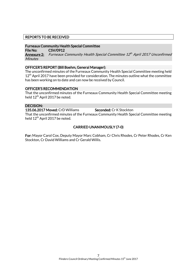# REPORTS TO BE RECEIVED

#### Furneaux Community Health Special Committee

File No: CSV/0912

**Annexure 2:** Furneaux Community Health Special Committee 12th April 2017 Unconfirmed **Minutes** 

#### OFFICER'S REPORT (Bill Boehm, General Manager):

The unconfirmed minutes of the Furneaux Community Health Special Committee meeting held 12<sup>th</sup> April 2017 have been provided for consideration. The minutes outline what the committee has been working on to date and can now be received by Council.

#### OFFICER'S RECOMMENDATION

That the unconfirmed minutes of the Furneaux Community Health Special Committee meeting held  $12<sup>th</sup>$  April 2017 be noted.

#### DECISION:

135.06.2017 Moved: CrD Williams Seconded: Cr K Stockton That the unconfirmed minutes of the Furneaux Community Health Special Committee meeting held 12<sup>th</sup> April 2017 be noted.

# CARRIED UNANIMOUSLY (7-0)

For: Mayor Carol Cox, Deputy Mayor Marc Cobham, Cr Chris Rhodes, Cr Peter Rhodes, Cr Ken Stockton, Cr David Williams and Cr Gerald Willis.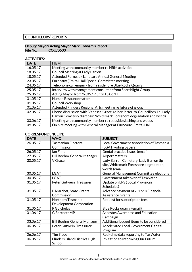# COUNCILLORS' REPORTS

# Deputy Mayor/ Acting Mayor Marc Cobham's Report COU/0600

# ACTIVITIES:

| <b>DATE</b> | <b>ITEM</b>                                                                |  |
|-------------|----------------------------------------------------------------------------|--|
| 16.05.17    | Meeting with community member re NRM activities                            |  |
| 18.05.17    | <b>Council Meeting at Lady Barron</b>                                      |  |
| 18.05.17    | Attended Furneaux Landcare Annual General Meeting                          |  |
| 23.05.17    | Furneaux (Emita) Hall Special Committee meeting                            |  |
| 24.05.17    | Telephone call enquiry from resident re Blue Rocks Quarry                  |  |
| 25.05.17    | Interview with management consultant from Searchlight Group                |  |
| 25.05.17    | Acting Mayor from 26.05.17 until 13.06.17                                  |  |
| 31.05.17    | Human Resource matter                                                      |  |
| 01.06.17    | <b>Council Workshop</b>                                                    |  |
| 01.06.17    | Attended Flinders Regional Arts meeting refuture of group                  |  |
| 02.06.17    | Phone discussion with Vanessa Grace re her letter to Councillors i.e. Lady |  |
|             | Barron Cemetery disrepair, Whitemark Foreshore degradation and weeds       |  |
| 03.06.17    | Meeting with community member re roadside slashing and weeds               |  |
| 09.06.17    | On-site meeting with General Manager at Furneaux (Emita) Hall              |  |

# CORRESPONDENCE IN:

| <b>DATE</b> | <b>WHO</b>                                     | <b>SUBJECT</b>                                                                                   |
|-------------|------------------------------------------------|--------------------------------------------------------------------------------------------------|
| 26.05.17    | <b>Tasmanian Electoral</b>                     | Local Government Association of Tasmania                                                         |
|             | Commission                                     | (LGAT) voting papers                                                                             |
| 26.05.17    | Ian Flint                                      | Dental practice issues (email)                                                                   |
| 27.05.17    | Bill Boehm, General Manager                    | Airport matters                                                                                  |
| 30.05.17    | V Grace                                        | Lady Barron Cemetery, Lady Barron tip<br>site, Whitemark Foreshore degradation,<br>weeds (email) |
| 30.05.17    | <b>LGAT</b>                                    | <b>General Management Committee elections</b>                                                    |
| 30.05.17    | <b>LGAT</b>                                    | Government takeover of TasWater                                                                  |
| 31.05.17    | Peter Gutwein, Treasurer                       | <b>Update on LPS (Local Provisions</b>                                                           |
|             |                                                | Schedules)                                                                                       |
| 31.05.17    | P Marriott, State Grants                       | Advance payment of 2017-18 Financial                                                             |
|             | Commission                                     | <b>Assistance Grants</b>                                                                         |
| 31.05.17    | Northern Tasmania<br>Development Corporation   | Request for subscription fees                                                                    |
| 31.05.17    | P Guichelaar                                   | Blue Rocks quarry (email)                                                                        |
| 01.06.17    | <b>G</b> Barrnett MP                           | <b>Asbestos Awareness and Education</b><br>Campaign                                              |
| 03.06.17    | Bill Boehm, General Manager                    | Additional budget items to be considered                                                         |
| 06.06.17    | Peter Gutwein, Treasurer                       | <b>Accelerated Local Government Capital</b>                                                      |
|             |                                                | Program                                                                                          |
| 06.06.17    | <b>Tim Slade</b>                               | Real-time data reporting to TasWater                                                             |
| 06.06.17    | <b>Flinders Island District High</b><br>School | Invitation to Informing Our Future                                                               |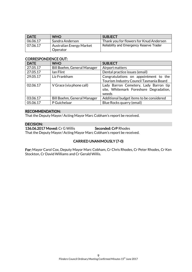| <b>DATE</b> | <b>WHO</b>               | <b>SUBJECT</b>                           |
|-------------|--------------------------|------------------------------------------|
| 06.06.17    | Sandra Anderson          | Thank you for flowers for Knud Andersen  |
| 07.06.17    | Australian Energy Market | Reliability and Emergency Reserve Trader |
|             | Operator                 |                                          |

# CORRESPONDENCE OUT:

| <b>DATE</b> | <b>WHO</b>                         | <b>SUBJECT</b>                                                                           |
|-------------|------------------------------------|------------------------------------------------------------------------------------------|
| 27.05.17    | <b>Bill Boehm, General Manager</b> | Airport matters                                                                          |
| 27.05.17    | lan Flint                          | Dental practice issues (email)                                                           |
| 29.05.17    | Liz Frankham                       | Congratulations on appointment to the<br>Tourism Industry Council Tasmania Board         |
| 02.06.17    | V Grace (via phone call)           | Lady Barron Cemetery, Lady Barron tip<br>site, Whitemark Foreshore Degradation,<br>weeds |
| 03.06.17    | <b>Bill Boehm, General Manager</b> | Additional budget items to be considered                                                 |
| 05.06.17    | P Guichelaar                       | Blue Rocks quarry (email)                                                                |

#### RECOMMENDATION:

That the Deputy Mayor/ Acting Mayor Marc Cobham's report be received.

# DECISION:

136.06.2017 Moved: Cr G Willis Seconded: CrP Rhodes That the Deputy Mayor/ Acting Mayor Marc Cobham's report be received.

# CARRIED UNANIMOUSLY (7-0)

For: Mayor Carol Cox, Deputy Mayor Marc Cobham, Cr Chris Rhodes, Cr Peter Rhodes, Cr Ken Stockton, Cr David Williams and Cr Gerald Willis.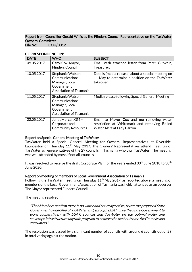#### Report from Councillor Gerald Willis as the Flinders Council Representative on the TasWater Owners' Committee File No: COU/0312

| <b>DATE</b> | <b>WHO</b>                                                                                     | <b>SUBJECT</b>                                                                                                          |
|-------------|------------------------------------------------------------------------------------------------|-------------------------------------------------------------------------------------------------------------------------|
| 09.05.2017  | Carol Cox, Mayor,<br><b>Flinders Council</b>                                                   | Email with attached letter from Peter Gutwein,<br>Treasurer.                                                            |
| 10.05.2017  | Stephanie Watson,<br>Communications<br>Manager, Local<br>Government<br>Association of Tasmania | Details (media release) about a special meeting on<br>11 May to determine a position on the TasWater<br>takeover.       |
| 11.05.2017  | Stephanie Watson,<br>Communications<br>Manager, Local<br>Government<br>Association of Tasmania | Media release following Special General Meeting                                                                         |
| 22.05.2017  | Juliet Mercer, GM -<br>Corporate and<br><b>Community Resources</b>                             | Email to Mayor Cox and me removing water<br>restriction at Whitemark and removing Boiled<br>Water Alert at Lady Barron. |

#### CORRESPONDENCE IN:

#### Report on Special General Meeting of TasWater

TasWater held a Special General Meeting for Owners' Representatives at Riverside, Launceston on Thursday  $11<sup>th</sup>$  May 2017. The Owners' Representatives attend meetings of TasWater as representatives of the 29 councils in Tasmania who own TasWater. The meeting was well attended by most, if not all, councils.

It was resolved to receive the draft Corporate Plan for the years ended 30 $^{\rm th}$  June 2018 to 30 $^{\rm th}$ June 2020.

#### Report on meeting of members of Local Government Association of Tasmania

Following the TasWater meeting on Thursday  $11<sup>th</sup>$  May 2017, as reported above, a meeting of members of the Local Government Association of Tasmania was held. I attended as an observer. The Mayor represented Flinders Council.

The meeting resolved:

"That Members confirm there is no water and sewerage crisis, reject the proposed State Government ownership of TasWater and, through LGAT, urge the State Government to work cooperatively with LGAT, councils and TasWater on the optimal water and sewerage infrastructure upgrade program to achieve the best outcome for Councils and consumers."

The resolution was passed by a significant number of councils with around 6 councils out of 29 in total voting against the motion.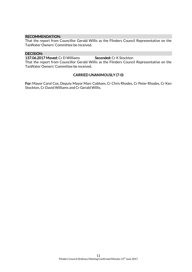#### RECOMMENDATION:

That the report from Councillor Gerald Willis as the Flinders Council Representative on the TasWater Owners' Committee be received.

#### DECISION:

137.06.2017 Moved: Cr D Williams Seconded: Cr K Stockton

That the report from Councillor Gerald Willis as the Flinders Council Representative on the TasWater Owners' Committee be received.

#### CARRIED UNANIMOUSLY (7-0)

For: Mayor Carol Cox, Deputy Mayor Marc Cobham, Cr Chris Rhodes, Cr Peter Rhodes, Cr Ken Stockton, Cr David Williams and Cr Gerald Willis.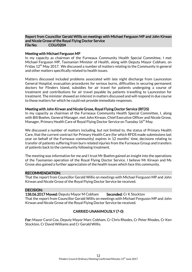#### Report from Councillor Gerald Willis on meetings with Michael Ferguson MP and John Kirwan and Nicole Grose of the Royal Flying Doctor Service File No: COU/0204

#### Meeting with Michael Ferguson MP

In my capacity as chairman of the Furneaux Community Health Special Committee, I met Michael Ferguson MP, Tasmanian Minister of Health, along with Deputy Mayor Cobham, on Friday  $12^{th}$  May 2017. We discussed a number of matters relating to the Community in general and other matters specifically related to health issues.

Matters discussed included problems associated with late night discharge from Launceston General Hospital, evacuation procedures for serious burns, difficulties in securing permanent doctors for Flinders Island, subsidies for air travel for patients undergoing a course of treatment and contributions for air travel payable by patients travelling to Launceston for treatment. The minister showed an interest in matters discussed and will respond in due course to those matters for which he could not provide immediate responses.

#### Meeting with John Kirwan and Nicole Grose, Royal Flying Doctor Service (RFDS)

In my capacity as chairman of the Furneaux Community Health Special Committee, I, along with Bill Boehm, General Manager, met John Kirwan, Chief Executive Officer and Nicole Grose, Manager, Primary Health Care of Royal Flying Doctor Service on Tuesday 16<sup>th</sup> May.

We discussed a number of matters including, but not limited to, the status of Primary Health Care, that the current contract for Primary Health Care (for which RFDS made submissions last year on behalf of the Furneaux community) expires in 12 months' time, decisions relating to transfer of patients suffering from burn related injuries from the Furneaux Group and transfers of patients back to the community following treatment.

The meeting was informative for me and I trust Mr Boehm gained an insight into the operations of the Tasmanian operation of the Royal Flying Doctor Service. I believe Mr Kirwan and Ms Grose also gained a further appreciation of the health issues which face this community.

#### RECOMMENDATION:

That the report from Councillor Gerald Willis on meetings with Michael Ferguson MP and John Kirwan and Nicole Grose of the Royal Flying Doctor Service be received.

#### DECISION:

138.06.2017 Moved: Deputy Mayor M Cobham Seconded: Cr K Stockton That the report from Councillor Gerald Willis on meetings with Michael Ferguson MP and John Kirwan and Nicole Grose of the Royal Flying Doctor Service be received.

#### CARRIED UNANIMOUSLY (7-0)

For: Mayor Carol Cox, Deputy Mayor Marc Cobham, Cr Chris Rhodes, Cr Peter Rhodes, Cr Ken Stockton, Cr David Williams and Cr Gerald Willis.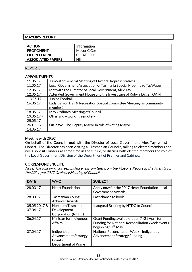# MAYOR'S REPORT:

| <b>ACTION</b>            | <b>Information</b> |
|--------------------------|--------------------|
| <b>PROPONENT</b>         | Mayor C Cox        |
| <b>FILE REFERENCE</b>    | COU/0600           |
| <b>ASSOCIATED PAPERS</b> | Nil                |

#### REPORT:

#### APPOINTMENTS:

| Tas Water General Meeting of Owners' Representatives                  |
|-----------------------------------------------------------------------|
| Local Government Association of Tasmania Special Meeting re TasWater  |
| Met with the Director of Local Government, Alex Tay                   |
| Attended Government House and the Investiture of Robyn Dilger, OAM    |
| Junior Football                                                       |
| Lady Barron Hall & Recreation Special Committee Meeting (as community |
| member)                                                               |
| May Ordinary Meeting of Council                                       |
| Off island - working remotely                                         |
|                                                                       |
| On leave. The Deputy Mayor in role of Acting Mayor                    |
|                                                                       |
|                                                                       |

# Meeting with DPaC

On behalf of the Council I met with the Director of Local Government, Alex Tay, whilst in Hobart. The Director has been visiting all Tasmanian Councils, talking to elected members and will also visit Flinders at some time in the future, to discuss with elected members the role of the Local Government Division of the Department of Premier and Cabinet.

#### CORRESPONDENCE IN:

Note: The following correspondence was omitted from the Mayor's Report in the Agenda for the 20<sup>th</sup> April 2017 Ordinary Meeting of Council.

| <b>DATE</b> | <b>WHO</b>                                       | <b>SUBJECT</b>                                                                                                                           |
|-------------|--------------------------------------------------|------------------------------------------------------------------------------------------------------------------------------------------|
| 28.03.17    | <b>Heart Foundation</b>                          | Apply now for the 2017 Heart Foundation Local<br><b>Government Awards</b>                                                                |
| 28.03.17    | <b>Tasmanian Young</b><br><b>Achiever Awards</b> | Last chance to book                                                                                                                      |
| 05.05.2017& | Northern Tasmania                                | Inaugural Briefing by NTDC to Council                                                                                                    |
| 07.04.17    | Development                                      |                                                                                                                                          |
|             | Corporation (NTDC)                               |                                                                                                                                          |
| 06.04.17    | Minister for Indigenous<br><b>Affairs</b>        | Grant Funding available open 7 -21 April for<br><b>Funding for National Reconciliation Week events</b><br>beginning 27 <sup>th</sup> May |
| 07.04.17    | Indigenous                                       | National Reconciliation Week - Indigenous                                                                                                |
|             | <b>Advancement Strategy</b>                      | <b>Advancement Strategy Funding</b>                                                                                                      |
|             | Grants,                                          |                                                                                                                                          |
|             | Department of Prime                              |                                                                                                                                          |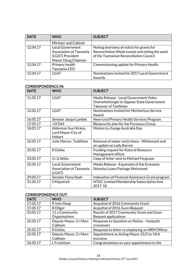| <b>DATE</b> | <b>WHO</b>                                                                                   | <b>SUBJECT</b>                                                                                                                         |
|-------------|----------------------------------------------------------------------------------------------|----------------------------------------------------------------------------------------------------------------------------------------|
|             | Minister and Cabinet                                                                         |                                                                                                                                        |
| 12.04.17    | <b>Local Government</b><br>Association of Tasmania<br>(LGAT) President<br>Mayor Doug Chipman | Noting shortness of notice for grants for<br>Reconciliation Week events and noting the work<br>of the Tasmanian Reconciliation Council |
| 12.04.17    | Primary health<br>Tasmania CEO                                                               | Commissioning update for Primary Health                                                                                                |
| 12.04.17    | <b>LGAT</b>                                                                                  | Nominations invited for 2017 Local Government<br>Awards                                                                                |

# CORRESPONDENCE IN:

| <b>DATE</b> | <b>WHO</b>                                                   | <b>SUBJECT</b>                                                                      |
|-------------|--------------------------------------------------------------|-------------------------------------------------------------------------------------|
| 11.05.17    | <b>LGAT</b>                                                  | Media Release - Local Government Votes<br>Overwhelmingly to Oppose State Government |
| 12.05.17    | <b>LGAT</b>                                                  | <b>Takeover of TasWater</b><br>Nominations Invited for Meritorious Service          |
|             |                                                              | Award                                                                               |
| 16.05.17    | Senator Jacqui Lambie                                        | New rural Primary Health Services Program                                           |
| 17.05.17    | J O'Dell                                                     | Biosecurity plan for the Furneaux Group                                             |
| 18.05.17    | Alderman Sue Hickey,<br>Lord Mayor City of<br>Hobart         | Motion to change Australia Day                                                      |
| 22.05.17    | Julie Mercer, TasWater                                       | Removal of water restirctions - Whitemark and<br>an update on Lady Barron           |
| 23.05.17    | R Dallas                                                     | <b>Funding request for Natural Resource</b><br>Management officer                   |
| 23.05.17    | Cr G Willis                                                  | Copy of letter sent to Michael Ferguson                                             |
| 25.05.17    | <b>Local Government</b><br>Association of Tasmania<br>(LGAT) | Media Release - Expansion of the Economic<br>Stimulus Loans Package Welcomed        |
| 29.05.17    | Senator Fiona Nash                                           | Indexation of Financial Assistance Grant program                                    |
| 31.05.17    | S Kilpatrick                                                 | NTDC Limited Membership Subscription fees<br>2017-18                                |

# CORRESPONDENCE OUT:

| <b>DATE</b> | <b>WHO</b>            | <b>SUBJECT</b>                                  |
|-------------|-----------------------|-------------------------------------------------|
| 17.05.17    | K Ives-Heap           | Acquittal of 2016 Community Grant               |
| 17.05.17    | R Dilger              | Acquittal of 2016 Gunn Bequest                  |
| 23.05.17    | 11 x Community        | Results of 2017 Community Grant and Gunn        |
|             | Organisations         | <b>Bequest applications</b>                     |
| 25.05.17    | Deputy Mayor, Cr Marc | Response to Question on Notice - footpath       |
|             | Cobham                | crossovers                                      |
| 25.05.17    | R Dallas,             | Response to letter re employing an NRM Officer. |
| 25.05.17    | Deputy Mayor, Cr Marc | Appointment as Acting Mayor 25/5 to 14/6        |
|             | Cobham                | inclusive.                                      |
| 26.05.17    | L Frankham            | Congratulations on your appointment to the      |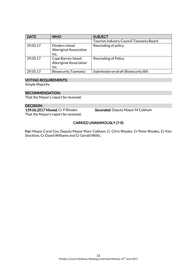| <b>DATE</b> | <b>WHO</b>                                                  | <b>SUBJECT</b>                          |
|-------------|-------------------------------------------------------------|-----------------------------------------|
|             |                                                             | Tourism Industry Council Tasmania Board |
| 29.05.17    | Flinders Island<br><b>Aboriginal Association</b><br>Inc.    | Rescinding of policy                    |
| 29.05.17    | Cape Barren Island<br><b>Aboriginal Association</b><br>Inc. | <b>Rescinding of Policy</b>             |
| 29.05.17    | <b>Biosecurity Tasmania</b>                                 | Submission on draft Biosecurity Bill    |

# VOTING REQUIREMENTS:

Simple Majority

#### RECOMMENDATION:

That the Mayor's report be received.

DECISION:<br>139.06.2017 Moved: Cr P Rhodes That the Mayor's report be received.

Seconded: Deputy Mayor M Cobham

# CARRIED UNANIMOUSLY (7-0)

For: Mayor Carol Cox, Deputy Mayor Marc Cobham, Cr Chris Rhodes, Cr Peter Rhodes, Cr Ken Stockton, Cr David Williams and Cr Gerald Willis.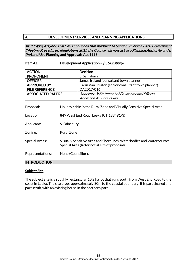# A. DEVELOPMENT SERVICES AND PLANNING APPLICATIONS

At 1.14pm, Mayor Carol Cox announced that pursuant to Section 25 of the Local Government (Meeting Procedures) Regulations 2015 the Council will now act as a Planning Authority under the Land Use Planning and Approvals Act 1993.

#### Item A1: Development Application – (S. Sainsbury)

| <b>ACTION</b>            | <b>Decision</b>                                    |
|--------------------------|----------------------------------------------------|
| <b>PROPONENT</b>         | S. Sainsbury                                       |
| <b>OFFICER</b>           | James Ireland (consultant town planner)            |
| <b>APPROVED BY</b>       | Karin Van Straten (senior consultant town planner) |
| <b>FILE REFERENCE</b>    | DA2017/016                                         |
| <b>ASSOCIATED PAPERS</b> | Annexure 3: Statement of Environmental Effects     |
|                          | Annexure 4: Survey Plan                            |
|                          |                                                    |

Proposal: Holiday cabin in the Rural Zone and Visually Sensitive Special Area

Location: 849 West End Road, Leeka (CT:133491/3)

Applicant: S. Sainsbury

Zoning: Rural Zone

Special Areas: Visually Sensitive Area and Shorelines, Waterbodies and Watercourses Special Area (latter not at site of proposal)

Representations: None (Councillor call-in)

#### INTRODUCTION:

#### **Subject Site**

The subject site is a roughly rectangular 10.2 ha lot that runs south from West End Road to the coast in Leeka. The site drops approximately 30m to the coastal boundary. It is part cleared and part scrub, with an existing house in the northern part.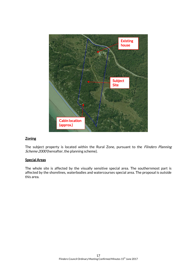

# **Zoning**

The subject property is located within the Rural Zone, pursuant to the Flinders Planning Scheme 2000 (hereafter, the planning scheme).

#### Special Areas

The whole site is affected by the visually sensitive special area. The southernmost part is affected by the shorelines, waterbodies and watercourses special area. The proposal is outside this area.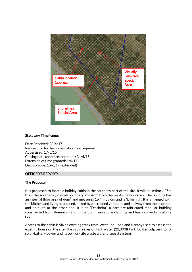

#### **Statutory Timeframes**

Date Received: 28/4/17 Request for further information: not required Advertised: 17/5/15 Closing date for representations: 31/5/15 Extension of time granted: 1/6/17 Decision due: 16/6/17 (extended)

#### OFFICER'S REPORT:

# The Proposal

It is proposed to locate a holiday cabin in the southern part of the site. It will be setback 25m from the southern (coastal) boundary and 46m from the west side boundary. The building has an internal floor area of 66m $^2$  and measures 16.4m by 6m and is 3.4m high. It is arranged with the kitchen and living at one end, linked by a screened verandah and hallway from the bedroom and en suite at the other end. It is an 'Ecoshelta', a part pre-fabricated modular building constructed from aluminium and timber, with zincalume cladding and has a curved zincalume roof.

Access to the cabin is via an existing track from West End Road and already used to assess the existing house on the site. The cabin relies on tank water (22,000lt tank located adjacent to it), solar/battery power and its own on-site waste water disposal system.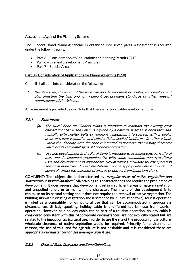# Assessment Against the Planning Scheme

The Flinders Island planning scheme is organised into seven parts. Assessment is required under the following parts:

- Part 3 Consideration of Applications for Planning Permits (3.10)
- Part 6 Use and Development Principles
- Part 7 Special Areas

# Part 3 – Consideration of Applications for Planning Permits (3.10)

Council shall take into consideration the following:

1. the objectives, the intent of the zone, use and development principles, any development plan affecting the land and any relevant development standards or other relevant requirements of the Scheme;

An assessment is provided below. Note that there is no applicable development plan:

# 5.8.1 Zone Intent

- (a) The Rural Zone on Flinders Island is intended to maintain the existing rural character of the island which is typified by a pattern of areas of open farmland, typically with shelter belts of remnant vegetation, interspersed with irregular areas of native vegetation and substantial unspoiled landform. On other islands within the Planning Area the zone is intended to preserve the existing character which displays minimal signs of European occupation.
- (b) Use and development in the Rural Zone is intended to accommodate agricultural uses and development predominantly, with some compatible non-agricultural uses and development in appropriate circumstances, including tourist operation and rural industries. Forest plantations may be appropriate where they do not adversely affect the character of an area or detract from important views.

COMMENT: The subject site is characterised by '*irregular areas of native vegetation and* substantial unspoiled landform'. Maintaining this character does not require the prohibition of development. It does require that development retains sufficient areas of native vegetation and unspoiled landform to maintain the character. The intent of the development is to capitalise on its natural setting and it does not require the removal of native vegetation. The building sits within existing vegetation and is screened by it. In relation to (b), tourist operation is listed as a compatible non-agricultural use that can be accommodated in appropriate circumstances. Strictly speaking, holiday cabin is a different tourism use from tourism operation. However, as a holiday cabin can be part of a tourism operation, holiday cabin is considered consistent with this. 'Appropriate circumstances' are not explicitly stated but are related to the impact on agricultural use. In order to use the site of the proposal for agriculture, wholesale clearance of native vegetation would be required. Primarily for environmental reasons, the use of this land for agriculture is not desirable and it is considered these are appropriate circumstances for this non-agricultural use.

# 5.8.2 Desired Zone Character and Zone Guidelines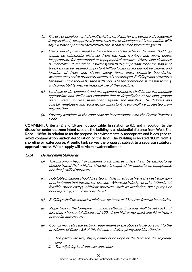- (a) The use or development of small existing rural lots for the purpose of residential living shall only be approved where such use or development is compatible with any existing or potential agricultural use of that land or surrounding lands.
- (b) Use or development should enhance the rural character of the zone. Buildings should be substantial distances from the road frontage and apart, unless inappropriate for operational or topographical reasons. Where land clearance is undertaken it should be visually sympathetic; important trees (or stands of trees) should be retained, important hilltop locations should not be cleared and location of trees and shrubs along fence lines, property boundaries, watercourses and at property entrances is encouraged. Buildings and structures for aquaculture should be sited with regard to the protection of coastal scenery and compatibility with recreational use of the coastline.
- (c) Land use or development and management practices shall be environmentally appropriate and shall avoid contamination or despoliation of the land, ground water, water courses, shore-lines, lagoons and marshes. Sand-dunes and coastal vegetation and ecologically important areas shall be protected from degradation.
- (d) Forestry activities in the zone shall be in accordance with the Forest Practices Code

COMMENT: Criteria (a) and (d) are not applicable. In relation to (b), and in addition to the discussion under the zone intent section, the building is a substantial distance from West End Road – 185m. In relation to (c) the proposal is environmentally appropriate and is designed to avoid contamination and/or despoliation of the land. The building is located 100m from a shoreline or watercourse. A septic tank serves the proposal, subject to a separate statutory approval process. Water supply will be via rainwater collection.

#### 5.8.4 Development Standards

- (a) The maximum height of buildings is 8.0 metres unless it can be satisfactorily demonstrated that a higher structure is required for operational, topographic or other justified purposes.
- (b) Habitable buildings should be sited and designed to achieve the best solar gain or orientation that the site can provide. Where such design or orientation is not feasible other energy efficient practices, such as insulation, heat pumps or double glazing, should be considered.
- (c) Buildings shall be setback a minimum distance of 20 metres from all boundaries.
- (d) Regardless of the foregoing minimum setbacks, buildings shall be set back not less than a horizontal distance of 100m from high water mark and 40 m from a perennial watercourse.
- (e) Council may relax the setback requirement of the above clause pursuant to the provisions of Clause 3.5 of this Scheme and after giving consideration to:
	- i. The particular size, shape, contours or slope of the land and the adjoining land;
	- ii. The adjoining land and uses and zones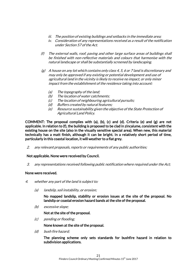- iii. The position of existing buildings and setbacks in the immediate area;
- iv. Consideration of any representations received as a result of the notification under Section 57 of the Act.
- (f) The external walls, roof, paving and other large surface areas of buildings shall be finished with non-reflective materials and colours that harmonise with the natural landscape or shall be substantially screened by landscaping.
- $(g)$  A house on any lot which contains only class 4, 5, 6 or 7 land is discretionary and may only be approved if any existing or potential development and use of agricultural land in the vicinity is likely to receive no impact, or only minor impact from the establishment of the residence taking into account:
	- (a) The topography of the land;
	- (b) The location of water catchments;
	- (c) The location of neighbouring agricultural pursuits;
	- (d) Buffers created by natural features;
	- (e) Resource sustainability given the objective of the State Protection of Agricultural Land Policy.

COMMENT: The proposal complies with (a), (b), (c) and (d). Criteria (e) and (g) are not applicable. In relation to (f), the building is proposed to be clad in zincalume, consistent with the existing house on the site (also in the visually sensitive special area). When new, this material technically has a matt finish, although it can be bright. In a relatively short period of time, particularly in this coastal location, it will weather to a flat grey.

2. any relevant proposals, reports or requirements of any public authorities;

# Not applicable. None were received by Council.

3. any representations received following public notification where required under the Act;

#### None were received.

- 4. whether any part of the land is subject to:
	- (a) landslip, soil instability, or erosion;

No mapped landslip, stability or erosion issues at the site of the proposal. No landslip or coastal erosion hazard bands at the site of the proposal.

(b) excessive slope;

Not at the site of the proposal.

(c) ponding or flooding;

None known at the site of the proposal.

(d) bush fire hazard;

The planning scheme only sets standards for bushfire hazard in relation to subdivision applications.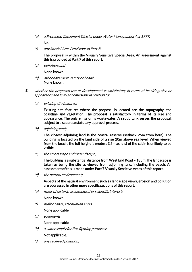(e) a Protected Catchment District under Water Management Act 1999;

No.

(f) any Special Area Provisions in Part 7;

The proposal is within the Visually Sensitive Special Area. An assessment against this is provided at Part 7 of this report.

(g) pollution; and

None known.

- (h) other hazards to safety or health. None known.
- 5. whether the proposed use or development is satisfactory in terms of its siting, size or appearance and levels of emissions in relation to:
	- (a) existing site features;

Existing site features where the proposal is located are the topography, the coastline and vegetation. The proposal is satisfactory in terms of its size and appearance. The only emission is wastewater. A septic tank serves the proposal, subject to a separate statutory approval process.

(b) adjoining land;

The closest adjoining land is the coastal reserve (setback 25m from here). The building is located on the land side of a rise 20m above sea level. When viewed from the beach, the full height (a modest 3.5m as it is) of the cabin is unlikely to be visible.

(c) the streetscape and/or landscape;

The building is a substantial distance from West End Road – 185m.The landscape is taken as being the site as viewed from adjoining land, including the beach. An assessment of this is made under Part 7 Visually Sensitive Areas of this report.

(d) the natural environment;

Aspects of the natural environment such as landscape views, erosion and pollution are addressed in other more specific sections of this report.

(e) items of historic, architectural or scientific interest;

None known.

(f) buffer zones, attenuation areas

None applicable.

(g) easements;

None applicable.

(h) a water supply for fire-fighting purposes;

Not applicable.

(i) any received pollution;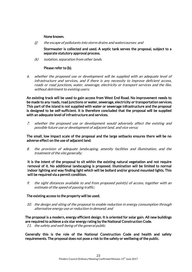#### None known.

 $(i)$  the escape of pollutants into storm drains and watercourses: and

Stormwater is collected and used. A septic tank serves the proposal, subject to a separate statutory approval process.

(k) isolation, separation from other lands.

#### Please refer to (b).

6. whether the proposed use or development will be supplied with an adequate level of infrastructure and services, and if there is any necessity to improve deficient access, roads or road junctions, water, sewerage, electricity or transport services and the like, without detriment to existing users;

An existing track will be used to gain access from West End Road. No improvement needs to be made to any roads, road junctions or water, sewerage, electricity or transportation services. This part of the island is not supplied with water or sewerage infrastructure and the proposal is designed to be self-sufficient. It is therefore concluded that the proposal will be supplied with an adequate level of infrastructure and services.

7. whether the proposed use or development would adversely affect the existing and possible future use or development of adjacent land, and vice versa;

The small, low impact scale of the proposal and the large setbacks ensures there will be no adverse effect on the use of adjacent land.

8. the provision of adequate landscaping, amenity facilities and illumination, and the treatment of the site generally;

It is the intent of the proposal to sit within the existing natural vegetation and not require removal of it. No additional landscaping is proposed. Illumination will be limited to normal indoor lighting and way finding light which will be bollard and/or ground mounted lights. This will be required via a permit condition.

9. the sight distances available to and from proposed point(s) of access, together with an estimate of the speed of passing traffic;

#### The existing access to the property will be used.

10. the design and siting of the proposal to enable reduction in energy consumption through alternative energy use or reduction in demand; and

The proposal is a modern, energy efficient design. It is oriented for solar gain. All new buildings are required to achieve a six star energy rating by the National Construction Code.

11. the safety and well-being of the general public.

Generally this is the role of the National Construction Code and health and safety requirements. The proposal does not pose a risk to the safety or wellbeing of the public.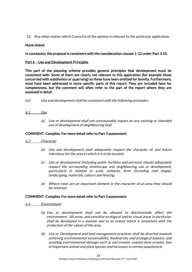12. Any other matter which Council is of the opinion is relevant to the particular application.

### None stated.

In conclusion, the proposal is consistent with the consideration clauses 1-12 under Part 3.10.

### Part 6 – Use and Development Principles

This part of the planning scheme provides general principles that development must be consistent with. Some of them are clearly not relevant to this application (for example those concerned with subdivision or quarrying) so these have been omitted for brevity. Furthermore, most have been addressed in more specific parts of this report. They are included here for completeness, but the comment will often refer to the part of the report where they are assessed in detail.

- 6.0 Use and development shall be consistent with the following principles:
- 6.1 Use
	- (a) Use or development shall not unreasonably impact on any existing or intended use of development of neighbouring land.

#### COMMENT: Complies. For more detail refer to Part 3 assessment.

#### 6.2 Character

- (a) Use and development shall adequately respect the character of, and future intentions for the area in which it is to be located.
- (c) Use or development (including public facilities and services) should adequately respect the surrounding streetscape and neighbouring use or development, particularly in relation to scale, setbacks, form (including roof shape), landscaping, materials, colours and fencing.
- (e) Where trees are an important element in the character of an area they should be retained.

#### COMMENT: Complies. For more detail refer to Part 3 assessment.

- 6.4 Environment
	- (a) Use or development shall not be allowed to detrimentally affect the environment. All areas, and sensitive ecological and/or visual areas in particular, shall be developed in a manner and to an extent which is consistent with the protection of the values of the area.
	- (b) Use or Development and land management practices shall be directed towards achieving environmental sustainability, biodiversity and ecological balance, and avoiding environmental damage such as soil erosion, coastal dune erosion, loss of important animal and plant species and increases in vermin populations.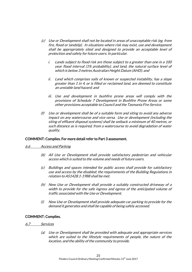- (c) Use or Development shall not be located in areas of unacceptable risk (eg. from fire, flood or landslip). In situations where risk may exist, use and development shall be appropriately sited and designed to provide an acceptable level of protection and safety for future users. In particular.
	- i. Lands subject to flood risk are those subject to a greater than one in a 100 year flood interval (1% probability), and land, the natural surface level of which is below 3 metres Australian Height Datum (AHD); and
	- ii. Land which comprises soils of known or suspected instability, has a slope greater than 1 in 4, or is filled or reclaimed land, are deemed to constitute an unstable land hazard; and
	- iii. Use and development in bushfire prone areas will comply with the provisions of Schedule 7 Development in Bushfire Prone Areas or some other provisions acceptable to Council and the Tasmania Fire Service.
- (f) Use or development shall be of a suitable form and siting to avoid any adverse impact on any watercourse and vice versa. Use or development (including the siting of effluent disposal systems) shall be setback a minimum of 40 metres, or such distance as is required, from a watercourse to avoid degradation of water quality.

#### COMMENT: Complies. For more detail refer to Part 3 assessment.

#### 6.6 Access and Parking

- (b) All Use or Development shall provide satisfactory pedestrian and vehicular access which is suited to the volume and needs of future users.
- (c) Buildings and spaces intended for public access shall provide for satisfactory use and access by the disabled; the requirements of the Building Regulations in relation to AS1428.1-1988 shall be met.
- (h) New Use or Development shall provide a suitably constructed driveway of a width to provide for the safe ingress and egress of the anticipated volume of traffic associated with the Use or Development.
- (i) New Use or Development shall provide adequate car parking to provide for the demand it generates and shall be capable of being safely accessed.

#### COMMENT: Complies.

#### 6.7 Services

(a) Use or Development shall be provided with adequate and appropriate services which are suited to the lifestyle requirements of people, the nature of the location, and the ability of the community to provide.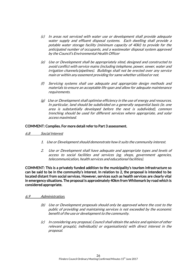- (c) In areas not serviced with water use or development shall provide adequate water supply and effluent disposal systems. Each dwelling shall provide a potable water storage facility (minimum capacity of 40kl) to provide for the anticipated number of occupants, and a wastewater disposal system approved by the Council's Environmental Health Officer
- (e) Use or Development shall be appropriately sited, designed and constructed to avoid conflict with service mains (including telephone, power, sewer, water and irrigation channels/pipelines). Buildings shall not be erected over any service main or within any easement providing for same whether utilised or not.
- (f) Servicing systems shall use adequate and appropriate design methods and materials to ensure an acceptable life span and allow for adequate maintenance requirements.
- (g) Use or Development shall optimise efficiency in the use of energy and resources. In particular, land should be subdivided on a generally sequential basis (ie. one area is substantially developed before the next is subdivided), common trenching should be used for different services where appropriate, and solar access maximised.

#### COMMENT: Complies. For more detail refer to Part 3 assessment.

- 6.8 Social Interest
	- 1. Use or Development should demonstrate how it suits the community interest.
	- 2. Use or Development shall have adequate and appropriate types and levels of access to social facilities and services (eg. shops, government agencies, telecommunication, health services and educational facilities).

COMMENT: This is a privately funded addition to the municipality's tourism infrastructure so can be said to be in the community's interest. In relation to 2, the proposal is intended to be located distant from social services. However, services such as health services are clearly vital in emergency situations. The proposal is approximately 40km from Whitemark by road which is considered appropriate.

- 6.9 Administration.
	- (b) Use or Development proposals should only be approved where the cost to the public of providing and maintaining services is not exceeded by the economic benefit of the use or development to the community.
	- (c) In considering any proposal, Council shall obtain the advice and opinion of other relevant group(s), individual(s) or organisation(s) with direct interest in the proposal.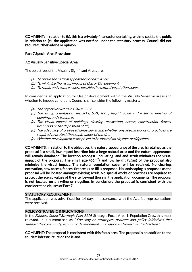COMMENT: In relation to (b), this is a privately financed undertaking, with no cost to the public. In relation to (c), the application was notified under the statutory process. Council did not require further advice or opinion.

### Part 7 Special Area Provisions

### 7.2 Visually Sensitive Special Area

The objectives of the Visually Significant Areas are:

- (a) To retain the natural appearance of each Area;
- (b) To minimise the visual impact of Use or Development;
- (c) To retain and restore where possible the natural vegetation cover.

In considering an application for Use or development within the Visually Sensitive areas and whether to impose conditions Council shall consider the following matters:

- (a) The objectives listed in Clause 7.2.2
- (b) The siting, orientation, setbacks, bulk, form, height, scale and external finishes of buildings and structures
- (c) The visual impact of buildings, clearing, excavation, access, construction, fences, firebreaks or the deposition of fill;
- (d) The adequacy of proposed landscaping and whether any special works or practices are required to protect the scenic values of the site;
- (e) Whether development is proposed to be located on skylines or ridgelines.

COMMENTS: In relation to the objectives, the natural appearance of the area is retained as the proposal is a small, low impact insertion into a large natural area and the natural appearance will remain dominant. The location amongst undulating land and scrub minimizes the visual impact of the proposal. The small size (66m<sup>2</sup>) and low height (3.5m) of the proposal also minimize the visual impact. The natural vegetation cover will be retained. No clearing, excavation, new access, fences, firebreaks or fill is proposed. No landscaping is proposed as the proposal will be located amongst existing scrub. No special works or practices are required to protect the scenic values of the site, beyond those in the application documents. The proposal is not located on a skyline or ridgeline. In conclusion, the proposal is consistent with the consideration clauses of Part 7.

# STATUTORY REQUIREMENT:

The application was advertised for 14 days in accordance with the Act. No representations were received.

#### POLICY/STRATEGIC IMPLICATIONS:

In the *Flinders Council Strategic Plan 2015*, Strategic Focus Area 1: Population Growth is most relevant. It is summarised as: "Focusing on strategies, projects and policy initiatives that support the community, economic development, innovation and investment attraction."

COMMENT: The proposal is consistent with this focus area. The proposal is an addition to the tourism infrastructure on the island.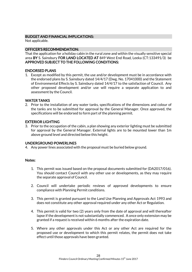### BUDGET AND FINANCIAL IMPLICATIONS:

Not applicable.

# OFFICER'S RECOMMENDATION:

That the application for a holiday cabin in the rural zone and within the visually sensitive special area BY S. Sainsbury FOR LAND LOCATED AT 849 West End Road, Leeka (CT:133491/3) be APPROVED SUBJECT TO THE FOLLOWING CONDITIONS:

# ENDORSED PLANS

1. Except as modified by this permit, the use and/or development must be in accordance with the endorsed plans by S. Sainsbury dated 14/4/17 (Dwg. No. 17041000) and the Statement of Environmental Effects by S. Sainsbury dated 14/4/17 to the satisfaction of Council. Any other proposed development and/or use will require a separate application to and assessment by the Council.

# WATER TANKS

2. Prior to the installation of any water tanks, specifications of the dimensions and colour of the tanks are to be submitted for approval by the General Manager. Once approved, the specifications will be endorsed to form part of the planning permit.

# EXTERIOR LIGHTING

3. Prior to the occupation of the cabin, a plan showing any exterior lighting must be submitted for approval by the General Manager. External lights are to be mounted lower than 1m above ground level and directed below this height.

#### UNDERGROUND POWERLINES

4. Any power lines associated with the proposal must be buried below ground.

#### Notes:

- 1. This permit was issued based on the proposal documents submitted for (DA2017/016). You should contact Council with any other use or developments, as they may require the separate approval of Council.
- 2. Council will undertake periodic reviews of approved developments to ensure compliance with Planning Permit conditions.
- 3. This permit is granted pursuant to the Land Use Planning and Approvals Act 1993 and does not constitute any other approval required under any other Act or Regulation.
- 4. This permit is valid for two (2) years only from the date of approval and will thereafter lapse if the development is not substantially commenced. A once only extension may be granted if a request is received within 6 months after the expiration date.
- 5. Where any other approvals under this Act or any other Act are required for the proposed use or development to which this permit relates, the permit does not take effect until those approvals have been granted.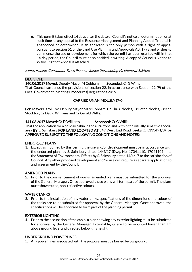6. This permit takes effect 14 days after the date of Council's notice of determination or at such time as any appeal to the Resource Management and Planning Appeal Tribunal is abandoned or determined. If an applicant is the only person with a right of appeal pursuant to section 61 of the Land Use Planning and Approvals Act 1993 and wishes to commence the use or development for which the permit has been granted within that 14 day period, the Council must be so notified in writing. A copy of Council's Notice to Waive Right of Appeal is attached.

James Ireland, Consultant Town Planner, joined the meeting via phone at 1.24pm.

# DECISION:

140.06.2017 Moved: Deputy Mayor M Cobham Seconded: Cr G Willis That Council suspends the provisions of section 22, in accordance with Section 22 (9) of the Local Government (Meeting Procedures) Regulations 2015.

# CARRIED UNANIMOUSLY (7-0)

For: Mayor Carol Cox, Deputy Mayor Marc Cobham, Cr Chris Rhodes, Cr Peter Rhodes, Cr Ken Stockton, Cr David Williams and Cr Gerald Willis.

# 141.06.2017 Moved: Cr D Williams Seconded: Cr G Willis

That the application for a holiday cabin in the rural zone and within the visually sensitive special area BY S. Sainsbury FOR LAND LOCATED AT 849 West End Road, Leeka (CT:133491/3) be APPROVED SUBJECT TO THE FOLLOWING CONDITIONS AND NOTES:

#### ENDORSED PLANS

1. Except as modified by this permit, the use and/or development must be in accordance with the endorsed plans by S. Sainsbury dated 14/4/17 (Dwg. No. 17041110, 17041101) and the Statement of Environmental Effects by S. Sainsbury dated 14/4/17 to the satisfaction of Council. Any other proposed development and/or use will require a separate application to and assessment by the Council.

# AMENDED PLANS

2. Prior to the commencement of works, amended plans must be submitted for the approval of the General Manager. Once approved these plans will form part of the permit. The plans must show muted, non-reflective colours.

#### WATER TANKS

3. Prior to the installation of any water tanks, specifications of the dimensions and colour of the tanks are to be submitted for approval by the General Manager. Once approved, the specifications will be endorsed to form part of the planning permit.

#### EXTERIOR LIGHTING

4. Prior to the occupation of the cabin, a plan showing any exterior lighting must be submitted for approval by the General Manager. External lights are to be mounted lower than 1m above ground level and directed below this height.

#### UNDERGROUND POWERLINES

5. Any power lines associated with the proposal must be buried below ground.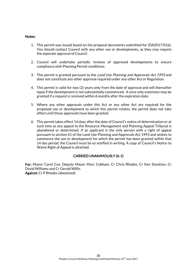#### Notes:

- 1. This permit was issued based on the proposal documents submitted for (DA2017/016). You should contact Council with any other use or developments, as they may require the separate approval of Council.
- 2. Council will undertake periodic reviews of approved developments to ensure compliance with Planning Permit conditions.
- 3. This permit is granted pursuant to the Land Use Planning and Approvals Act 1993 and does not constitute any other approval required under any other Act or Regulation.
- 4. This permit is valid for two (2) years only from the date of approval and will thereafter lapse if the development is not substantially commenced. A once only extension may be granted if a request is received within 6 months after the expiration date.
- 5. Where any other approvals under this Act or any other Act are required for the proposed use or development to which this permit relates, the permit does not take effect until those approvals have been granted.
- 6. This permit takes effect 14 days after the date of Council's notice of determination or at such time as any appeal to the Resource Management and Planning Appeal Tribunal is abandoned or determined. If an applicant is the only person with a right of appeal pursuant to section 61 of the Land Use Planning and Approvals Act 1993 and wishes to commence the use or development for which the permit has been granted within that 14 day period, the Council must be so notified in writing. A copy of Council's Notice to Waive Right of Appeal is attached.

#### CARRIED UNANIMOUSLY (6-1)

For: Mayor Carol Cox, Deputy Mayor Marc Cobham, Cr Chris Rhodes, Cr Ken Stockton, Cr David Williams and Cr Gerald Willis. Against: Cr P Rhodes (abstained)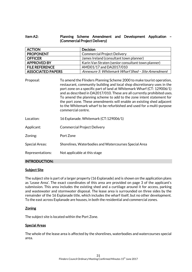# Item A2: Planning Scheme Amendment and Development Application – (Commercial Project Delivery)

| <b>ACTION</b>            |                                                                                                                                                                                                                                                                                                                                                                                                                                                                                                                                                        | <b>Decision</b>                                    |
|--------------------------|--------------------------------------------------------------------------------------------------------------------------------------------------------------------------------------------------------------------------------------------------------------------------------------------------------------------------------------------------------------------------------------------------------------------------------------------------------------------------------------------------------------------------------------------------------|----------------------------------------------------|
| <b>PROPONENT</b>         |                                                                                                                                                                                                                                                                                                                                                                                                                                                                                                                                                        | <b>Commercial Project Delivery</b>                 |
| <b>OFFICER</b>           |                                                                                                                                                                                                                                                                                                                                                                                                                                                                                                                                                        | James Ireland (consultant town planner)            |
| <b>APPROVED BY</b>       |                                                                                                                                                                                                                                                                                                                                                                                                                                                                                                                                                        | Karin Van Straten (senior consultant town planner) |
| <b>FILE REFERENCE</b>    |                                                                                                                                                                                                                                                                                                                                                                                                                                                                                                                                                        | AMD01/17 and DA2017/010                            |
| <b>ASSOCIATED PAPERS</b> |                                                                                                                                                                                                                                                                                                                                                                                                                                                                                                                                                        | Annexure 5: Whitemark Wharf Shed - Site Amendment  |
| Proposal:                | To amend the Flinders Planning Scheme 2000 to make tourist operation,<br>restaurant, community building and local shop discretionary uses in the<br>port zone on a specific part of land at Whitemark Wharf (CT: 129006/1)<br>and as described in DA2017/010. These are all currently prohibited uses.<br>To amend the planning scheme to add to the zone intent statement for<br>the port zone. These amendments will enable an existing shed adjacent<br>to the Whitemark wharf to be refurbished and used for a multi-purpose<br>commercial centre. |                                                    |
| Location:                | 16 Esplanade. Whitemark (CT:129006/1)                                                                                                                                                                                                                                                                                                                                                                                                                                                                                                                  |                                                    |

- Applicant: Commercial Project Delivery
- Zoning: Port Zone
- Special Areas: Shorelines, Waterbodies and Watercourses Special Area
- Representations: Not applicable at this stage

# INTRODUCTION:

#### **Subject Site**

The subject site is part of a larger property (16 Esplanade) and is shown on the application plans as 'Lease Area'. The exact coordinates of this area are provided on page 3 of the applicant's submission. This area includes the existing shed and a curtilage around it for access, parking and wastewater and stormwater disposal. The lease area is surrounded on three sides by the remainder of the 16 Esplanade title, which includes the wharf itself, but no other development. To the east across Esplanade are houses, in both the residential and commercial zones.

# Zoning

The subject site is located within the Port Zone.

# Special Areas

The whole of the lease area is affected by the shorelines, waterbodies and watercourses special area.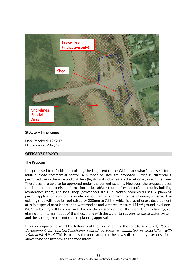

# **Statutory Timeframes**

Date Received: 12/5/17 Decision due: 23/6/17

#### OFFICER'S REPORT:

#### The Proposal

It is proposed to refurbish an existing shed adjacent to the Whitemark wharf and use it for a multi-purpose commercial centre. A number of uses are proposed. Office is currently a permitted use in the zone and distillery (light/rural industry) is a discretionary use in the zone. These uses are able to be approved under the current scheme. However, the proposed uses tourist operation (tourism information desk), café/restaurant (restaurant), community building (conference room) and local shop (provedore) are all currently prohibited uses. A planning permit application cannot be made without an amendment to the planning scheme. The existing shed will have its roof raised by 200mm to 7.35m, which is discretionary development at is in a special area (shorelines, waterbodies and watercourses). A  $141\mathrm{m}^2$  ground level deck (28.25m by 5m) will be constructed along the western side of the shed. The re-cladding, reglazing and internal fit out of the shed, along with the water tanks, on-site waste water system and the parking area do not require planning approval.

It is also proposed to insert the following at the zone intent for the zone (Clause 5.7.1): "Use or development for tourism/hospitality related purposes is supported in association with Whitemark Wharf. "This is to allow the application for the newly discretionary uses described above to be consistent with the zone intent.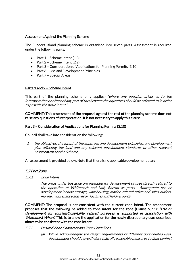# Assessment Against the Planning Scheme

The Flinders Island planning scheme is organised into seven parts. Assessment is required under the following parts:

- Part  $1$  Scheme Intent  $(1.3)$
- $\bullet$  Part 2 Scheme Intent (2.2)
- Part 3 Consideration of Applications for Planning Permits (3.10)
- Part 6 Use and Development Principles
- Part 7 Special Areas

#### Parts 1 and 2 – Scheme Intent

This part of the planning scheme only applies: "where any question arises as to the interpretation or effect of any part of this Scheme the objectives should be referred to in order to provide the basic intent."

COMMENT: This assessment of the proposal against the rest of the planning scheme does not raise any questions of interpretation. It is not necessary to apply this clause.

#### Part 3 – Consideration of Applications for Planning Permits (3.10)

Council shall take into consideration the following:

1. the objectives, the intent of the zone, use and development principles, any development plan affecting the land and any relevant development standards or other relevant requirements of the Scheme;

An assessment is provided below. Note that there is no applicable development plan:

#### 5.7 Port Zone

5.7.1 Zone Intent

The areas under this zone are intended for development of uses directly related to the operation of Whitemark and Lady Barron as ports. Appropriate use or development include storage, warehousing, marine-related office and sales outlets, marine maintenance and repair facilities and holding yards.

COMMENT: The proposal is not consistent with the current zone intent. The amendment proposes that the following be added to zone intent for the zone (Clause 5.7.1): "Use or development for tourism/hospitality related purposes is supported in association with Whitemark Wharf. "This is to allow the application for the newly discretionary uses described above to be consistent with the zone intent.

- 5.7.2 Desired Zone Character and Zone Guidelines
	- (a) While acknowledging the design requirements of different port-related uses, development should nevertheless take all reasonable measures to limit conflict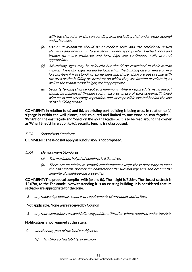with the character of the surrounding area (including that under other zoning) and other uses.

- (b) Use or development should be of modest scale and use traditional design elements and orientation to the street, where appropriate. Pitched roofs and broken form are preferred and long, high and continuous walls are not appropriate.
- (c) Advertising signs may be colourful but should be restrained in their overall impact. Typically, signs should be located on the building face or fence or in a low position if free standing. Large signs and those which are out of scale with the area or the building or structure on which they are located or relate to, as well as those above roof height, are inappropriate.
- (d) Security fencing shall be kept to a minimum. Where required its visual impact should be minimised through such measures as use of dark coloured/finished wire mesh and screening vegetation, and were possible located behind the line of the building facade.

COMMENT: In relation to (a) and (b), an existing port building is being used. In relation to (c) signage is within the wall planes, dark coloured and limited to one word on two façades – 'Wharf' on the east façade and 'Shed' on the north façade (i.e. it is to be read around the corner as 'Wharf Shed'.) In relation to (d), security fencing is not proposed.

#### 5.7.3 Subdivision Standards

COMMENT: These do not apply as subdivision is not proposed.

#### 5.7.4 Development Standards

- (a) The maximum height of buildings is 8.0 metres.
- (b) There are no minimum setback requirements except those necessary to meet the zone intent, protect the character of the surrounding area and protect the amenity of neighbouring properties.

COMMENT: The proposal complies with (a) and (b). The height is 7.35m. The closest setback is 12.07m, to the Esplanade. Notwithstanding it is an existing building, it is considered that its setbacks are appropriate for the zone.

2. any relevant proposals, reports or requirements of any public authorities;

#### Not applicable. None were received by Council.

3. any representations received following public notification where required under the Act;

#### Notification is not required at this stage.

- 4. whether any part of the land is subject to:
	- (a) landslip, soil instability, or erosion;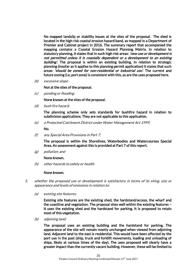No mapped landslip or stability issues at the sites of the proposal. The shed is located in the high risk coastal erosion hazard band, as mapped in a Department of Premier and Cabinet project in 2016. The summary report that accompanied the mapping contains a Coastal Erosion Hazard Planning Matrix. In relation to statutory planning, it states that in such high risk areas: 'new use or development is not permitted unless it is coastally dependent or a development to an existing building'. The proposal is within an existing building. In relation to strategic planning (insofar as it applies to this planning permit application) it states that such areas: 'should be zoned for non-residential or industrial use'. The current and future zoning (i.e, port zone) is consistent with this, as are the uses proposed here.

(b) excessive slope;

Not at the sites of the proposal.

(c) ponding or flooding;

None known at the sites of the proposal.

(d) bush fire hazard;

The planning scheme only sets standards for bushfire hazard in relation to subdivision applications. They are not applicable to this application.

(e) a Protected Catchment District under Water Management Act 1999;

No.

(f) any Special Area Provisions in Part 7;

The proposal is within the Shorelines, Waterbodies and Watercourses Special Area. An assessment against this is provided at Part 7 of this report.

(g) pollution; and

None known.

(h) other hazards to safety or health.

#### None known.

- 5. whether the proposed use or development is satisfactory in terms of its siting, size or appearance and levels of emissions in relation to:
	- (a) existing site features;

Existing site features are the existing shed, the hardstand/access, the wharf and the coastline and vegetation. The proposal sites well within the existing features – it uses the existing shed and the hardstand for parking. It is proposed to retain most of this vegetation.

(b) adjoining land;

The proposal uses an existing building and the hardstand for parking. The appearance of the site will remain mostly unchanged when viewed from adjoining land. Adjacent land to the east is residential. This would have been affected by the port use in the past (ship, truck and forklift movements, loading and unloading of ships, likely at various times of the day). The uses proposed will clearly have a greater impact than the currently vacant building. However, these will be limited to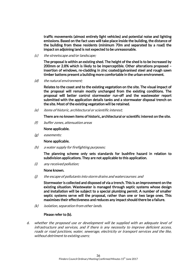traffic movements (almost entirely light vehicles) and potential noise and lighting emissions. Based on the fact uses will take place inside the building, the distance of the building from these residents (minimum 70m and separated by a road) the impact on adjoining land is not expected to be unreasonable.

(c) the streetscape and/or landscape;

The proposal is within an existing shed. The height of the shed is to be increased by 200mm or 2.8% which is likely to be imperceptible. Other alterations proposed – insertion of windows, re-cladding in zinc coated/galvanised steel and rough sawn timber battens present a building more comfortable in the urban environment.

(d) the natural environment;

Relates to the coast and to the existing vegetation on the site. The visual impact of the proposal will remain mostly unchanged from the existing conditions. The proposal will better control stormwater run-off and the wastewater report submitted with the application details tanks and a stormwater disposal trench on the site. Most of the existing vegetation will be retained.

(e) items of historic, architectural or scientific interest;

There are no known items of historic, architectural or scientific interest on the site.

(f) buffer zones, attenuation areas

None applicable.

(g) easements;

None applicable.

(h) a water supply for firefighting purposes;

The planning scheme only sets standards for bushfire hazard in relation to subdivision applications. They are not applicable to this application.

(i) any received pollution;

#### None known.

 $(i)$  the escape of pollutants into storm drains and watercourses: and

Stormwater is collected and disposed of via a trench. This is an improvement on the existing situation. Wastewater is managed through septic systems whose design and installation will be subject to a special plumbing permit. A number of smaller septic systems serve will the proposal, rather than one or two large ones. This maximises their effectiveness and reduces any impact should there be a failure.

(k) isolation, separation from other lands.

#### Please refer to (b).

6. whether the proposed use or development will be supplied with an adequate level of infrastructure and services, and if there is any necessity to improve deficient access, roads or road junctions, water, sewerage, electricity or transport services and the like, without detriment to existing users;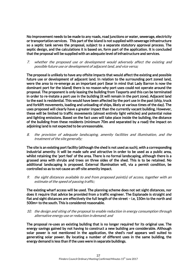No improvement needs to be made to any roads, road junctions or water, sewerage, electricity or transportation services. This part of the island is not supplied with sewerage infrastructure so a septic tank serves the proposal, subject to a separate statutory approval process. The septic design, and the calculations it is based on, form part of the application. It is concluded that the proposal will be supplied with an adequate level of infrastructure and services.

7. whether the proposed use or development would adversely affect the existing and possible future use or development of adjacent land, and vice versa;

The proposal is unlikely to have any offsite impacts that would affect the existing and possible future use or development of adjacent land. In relation to the surrounding port zoned land, were the area to re-emerge as an important port (bear in mind that Lady Barron is now the dominant port for the island) there is no reason why port uses could not operate around the proposal. The proponent is only leasing the building from Tasports and this can be terminated in order to re-instate a port use in the building (it will remain in the port zone). Adjacent land to the east is residential. This would have been affected by the port use in the past (ship, truck and forklift movements, loading and unloading of ships, likely at various times of the day). The uses proposed will clearly have a greater impact than the currently vacant building. However, these will be limited to traffic movements (almost entirely light vehicles) and potential noise and lighting emissions. Based on the fact uses will take place inside the building, the distance of the building from these residents (minimum 70m and separated by a road) the impact on adjoining land is not expected to be unreasonable.

8. the provision of adequate landscaping, amenity facilities and illumination, and the treatment of the site generally;

The site is an existing port facility (although the shed is not used as such), with a corresponding industrial amenity. It will be made safe and attractive in order to be used as a public area, whilst retaining the 'port feel' of the area. There is no formal landscaping, although there is a grassed area with shrubs and trees on three sides of the shed. This is to be retained. No additional landscaping is proposed. External illumination will, via a permit condition, be controlled so as to not cause an off-site amenity impact.

9. the sight distances available to and from proposed point(s) of access, together with an estimate of the speed of passing traffic;

The existing wharf access will be used. The planning scheme does not set sight distances, nor does it require that advice be provided from a traffic engineer. The Esplanade is straight and flat and sight distances are effectively the full length of the street – i.e, 150m to the north and 500m+ to the south. This is considered reasonable.

10. the design and siting of the proposal to enable reduction in energy consumption through alternative energy use or reduction in demand; and

The proposal re-uses an existing building that is no longer required for its original use. The energy savings gained by not having to construct a new building are considerable. Although solar power is not mentioned in the application, the shed's roof appears well suited to generating solar power. By locating a number of different uses in the same building, the energy demand is less than if the uses were in separate buildings.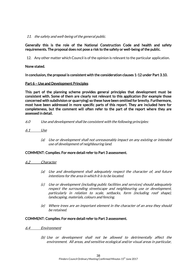# 11. the safety and well-being of the general public.

# Generally this is the role of the National Construction Code and health and safety requirements. The proposal does not pose a risk to the safety or well-being of the public.

12. Any other matter which Council is of the opinion is relevant to the particular application.

### None stated.

In conclusion, the proposal is consistent with the consideration clauses 1-12 under Part 3.10.

# Part 6 – Use and Development Principles

This part of the planning scheme provides general principles that development must be consistent with. Some of them are clearly not relevant to this application (for example those concerned with subdivision or quarrying) so these have been omitted for brevity. Furthermore, most have been addressed in more specific parts of this report. They are included here for completeness, but the comment will often refer to the part of the report where they are assessed in detail.

6.0 Use and development shall be consistent with the following principles:

#### 6.1 Use

(a) Use or development shall not unreasonably impact on any existing or intended use of development of neighbouring land.

#### COMMENT: Complies. For more detail refer to Part 3 assessment.

#### 6.2 Character

- (a) Use and development shall adequately respect the character of, and future intentions for the area in which it is to be located.
- (c) Use or development (including public facilities and services) should adequately respect the surrounding streetscape and neighbouring use or development, particularly in relation to scale, setbacks, form (including roof shape), landscaping, materials, colours and fencing.
- (e) Where trees are an important element in the character of an area they should be retained.

#### COMMENT: Complies. For more detail refer to Part 3 assessment.

- 6.4 Environment
	- (b) Use or development shall not be allowed to detrimentally affect the environment. All areas, and sensitive ecological and/or visual areas in particular,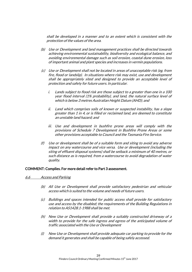shall be developed in a manner and to an extent which is consistent with the protection of the values of the area.

- (b) Use or Development and land management practices shall be directed towards achieving environmental sustainability, biodiversity and ecological balance, and avoiding environmental damage such as soil erosion, coastal dune erosion, loss of important animal and plant species and increases in vermin populations.
- (c) Use or Development shall not be located in areas of unacceptable risk (eg. from fire, flood or landslip). In situations where risk may exist, use and development shall be appropriately sited and designed to provide an acceptable level of protection and safety for future users. In particular.
	- i. Lands subject to flood risk are those subject to a greater than one in a 100 year flood interval (1% probability), and land, the natural surface level of which is below 3 metres Australian Height Datum (AHD); and
	- ii. Land which comprises soils of known or suspected instability, has a slope greater than 1 in 4, or is filled or reclaimed land, are deemed to constitute an unstable land hazard; and
	- iii. Use and development in bushfire prone areas will comply with the provisions of Schedule 7 Development in Bushfire Prone Areas or some other provisions acceptable to Council and the Tasmania Fire Service.
- (f) Use or development shall be of a suitable form and siting to avoid any adverse impact on any watercourse and vice versa. Use or development (including the siting of effluent disposal systems) shall be setback a minimum of 40 metres, or such distance as is required, from a watercourse to avoid degradation of water quality.

#### COMMENT: Complies. For more detail refer to Part 3 assessment.

#### 6.6 Access and Parking

- (b) All Use or Development shall provide satisfactory pedestrian and vehicular access which is suited to the volume and needs of future users.
- (c) Buildings and spaces intended for public access shall provide for satisfactory use and access by the disabled; the requirements of the Building Regulations in relation to AS1428.1-1988 shall be met.
- (h) New Use or Development shall provide a suitably constructed driveway of a width to provide for the safe ingress and egress of the anticipated volume of traffic associated with the Use or Development
- (i) New Use or Development shall provide adequate car parking to provide for the demand it generates and shall be capable of being safely accessed.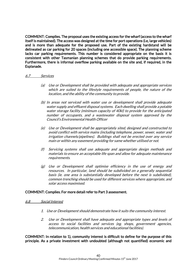COMMENT: Complies. The proposal uses the existing access for the wharf (access to the wharf itself is maintained). The access was designed at the time for port operations (i.e, large vehicles) and is more than adequate for the proposed use. Part of the existing hardstand will be delineated as car parking for 20 spaces (including one accessible space). The planning scheme lacks car parking requirements. This number is considered appropriate on the basis it is consistent with other Tasmanian planning schemes that do provide parking requirements. Furthermore, there is informal overflow parking available on the site and, if required, in the Esplanade.

#### 6.7 Services

- (a) Use or Development shall be provided with adequate and appropriate services which are suited to the lifestyle requirements of people, the nature of the location, and the ability of the community to provide.
- (b) In areas not serviced with water use or development shall provide adequate water supply and effluent disposal systems. Each dwelling shall provide a potable water storage facility (minimum capacity of 40kl) to provide for the anticipated number of occupants, and a wastewater disposal system approved by the Council's Environmental Health Officer
- (e) Use or Development shall be appropriately sited, designed and constructed to avoid conflict with service mains (including telephone, power, sewer, water and irrigation channels/pipelines). Buildings shall not be erected over any service main or within any easement providing for same whether utilised or not.
- (f) Servicing systems shall use adequate and appropriate design methods and materials to ensure an acceptable life span and allow for adequate maintenance requirements.
- (g) Use or Development shall optimise efficiency in the use of energy and resources. In particular, land should be subdivided on a generally sequential basis (ie. one area is substantially developed before the next is subdivided), common trenching should be used for different services where appropriate, and solar access maximised.

#### COMMENT: Complies. For more detail refer to Part 3 assessment.

#### 6.8 Social Interest

- 1. Use or Development should demonstrate how it suits the community interest.
- 2. Use or Development shall have adequate and appropriate types and levels of access to social facilities and services (eg. shops, government agencies, telecommunication, health services and educational facilities).

COMMENT: In relation to 1), community interest is difficult to define for the purpose of this principle. As a private investment with undoubted (although not quantified) economic and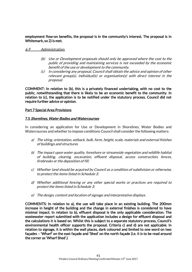employment flow-on benefits, the proposal is in the community's interest. The proposal is in Whitemark, so 2) is met.

#### 6.9 Administration.

- (b) Use or Development proposals should only be approved where the cost to the public of providing and maintaining services is not exceeded by the economic benefit of the use or development to the community.
- (c) In considering any proposal, Council shall obtain the advice and opinion of other relevant group(s), individual(s) or organisation(s) with direct interest in the proposal.

COMMENT: In relation to (b), this is a privately financed undertaking, with no cost to the public, notwithstanding that there is likely to be an economic benefit to the community. In relation to (c), the application is to be notified under the statutory process. Council did not require further advice or opinion.

# Part 7 Special Area Provisions

#### 7.5 Shorelines, Water Bodies and Watercourses

In considering an application for Use or Development in Shorelines, Water Bodies and Watercourses and whether to impose conditions Council shall consider the following matters:

- a) The siting, orientation, setback, bulk, form, height, scale, materials and external finishes of buildings and structures
- b) The impact upon water quality, foreshore or streamside vegetation and wildlife habitat of building, clearing, excavation, effluent disposal, access construction, fences, firebreaks or the deposition of fill;
- c) Whether land should be acquired by Council as a condition of subdivision or otherwise, to protect the items listed in Schedule 3;
- d) Whether additional fencing or any other special works or practices are required to protect the items listed in Schedule 3;
- e) The design, content and location of signage and interpretative displays.

COMMENTS: In relation to a), the use will take place in an existing building. The 200mm increase in height of the building and the change in external finishes is considered to have minimal impact. In relation to b), effluent disposal is the only applicable consideration. The wastewater report submitted with the application includes a design for effluent disposal and the calculations it is based on. Whilst this is subject to a separate statutory process, Council's environmental health officer supports the proposal. Criteria c) and d) are not applicable. In relation to signage, it is within the wall places, dark coloured and limited to one word on two façades – 'Wharf' on the east façade and 'Shed' on the north façade (i.e. it is to be read around the corner as 'Wharf Shed'.)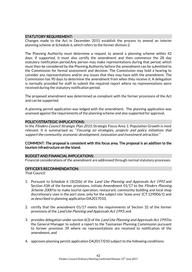# STATUTORY REQUIREMENT:

Changes made to the Act in December 2015 establish the process to amend an interim planning scheme at Schedule 6, which refers to the former division 2.

The Planning Authority must determine a request to amend a planning scheme within 42 days. If supported, it must also certify the amendment and then commence the 28 day statutory notification period.Any person may make representations during that period, which must then be considered by the Planning Authority before the amendment can be submitted to the Commission for formal assessment and decision. The Commission may hold a hearing to consider any representations and/or any issues that they may have with the amendment. The Commission has 90 days to determine the amendment from when they receive it. A delegation is normally provided for staff to submit the required report where no representations were received during the statutory notification period.

The proposed amendment was determined as compliant with the former provisions of the Act and can be supported.

A planning permit application was lodged with the amendment. The planning application was assessed against the requirements of the planning scheme and also supported for approval.

#### POLICY/STRATEGIC IMPLICATIONS:

In the *Flinders Council Strategic Plan 2015*, Strategic Focus Area 1: Population Growth is most relevant. It is summarised as: "Focusing on strategies, projects and policy initiatives that support the community, economic development, innovation and investment attraction."

#### COMMENT: The proposal is consistent with this focus area. The proposal is an addition to the tourism infrastructure on the island.

#### BUDGET AND FINANCIAL IMPLICATIONS:

Financial considerations of the amendment are addressed through normal statutory processes.

#### OFFICER'S RECOMMENDATION:

That Council:

- 1. Pursuant to Schedule 6 (3)(2)(b) of the Land Use Planning and Approvals Act 1993 and Section 43A of the former provisions, initiate Amendment 01/17 to the Flinders Planning Scheme 2000 to to make tourist operation, restaurant, community building and local shop discretionary uses in the port zone, only for the subject site 'lease area' (CT 129006/1) and as described in planning application DA2017010,
- 2. certify that the amendment 01/17 meets the requirements of Section 32 of the former provisions of the Land Use Planning and Approvals Act 1993; and
- 3. provides delegation under section 6(3) of the Land Use Planning and Approvals Act 1993 to the General Manager to submit a report to the Tasmanian Planning Commission pursuant to former provision 39 where no representations are received to notification of the amendment, and
- 4. approves planning permit application DA2017/010 subject to the following conditions: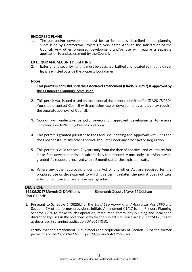# ENDORSED PLANS

1. The use and/or development must be carried out as described in the planning submission by Commercial Project Delivery dated April to the satisfaction of the Council. Any other proposed development and/or use will require a separate application to and assessment by the Council.

### EXTERIOR AND SECURITY LIGHTING

2. Exterior and security lighting must be designed, baffled and located so that no direct light is emitted outside the property boundaries.

#### Notes:

- 1. This permit is not valid until the associated amendment (Flinders 01/17) is approved by the Tasmanian Planning Commission.
- 2. This permit was issued based on the proposal documents submitted for (DA2017/010). You should contact Council with any other use or developments, as they may require the separate approval of Council.
- 3. Council will undertake periodic reviews of approved developments to ensure compliance with Planning Permit conditions.
- 4. This permit is granted pursuant to the Land Use Planning and Approvals Act 1993 and does not constitute any other approval required under any other Act or Regulation.
- 5. This permit is valid for two (2) years only from the date of approval and will thereafter lapse if the development is not substantially commenced. A once only extension may be granted if a request is received within 6 months after the expiration date.
- 6. Where any other approvals under this Act or any other Act are required for the proposed use or development to which this permit relates, the permit does not take effect until those approvals have been granted.

#### DECISION:

142.06.2017 Moved: Cr D Williams Seconded: Deputy Mayor M Cobham That Council:

- 1. Pursuant to Schedule 6 (3)(2)(b) of the *Land Use Planning and Approvals Act 1993* and Section 43A of the former provisions, initiate Amendment 01/17 to the Flinders Planning Scheme 1994 to make tourist operation, restaurant, community building and local shop discretionary uses in the port zone, only for the subject site 'lease area' (CT 129006/1) and as described in planning application DA2017/010,
- 2. certify that the amendment 01/17 meets the requirements of Section 32 of the former provisions of the Land Use Planning and Approvals Act 1993; and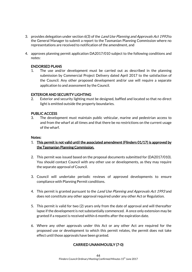- 3. provides delegation under section 6(3) of the Land Use Planning and Approvals Act 1993 to the General Manager to submit a report to the Tasmanian Planning Commission where no representations are received to notification of the amendment, and
- 4. approves planning permit application DA2017/010 subject to the following conditions and notes:

# ENDORSED PLANS

1. The use and/or development must be carried out as described in the planning submission by Commercial Project Delivery dated April 2017 to the satisfaction of the Council. Any other proposed development and/or use will require a separate application to and assessment by the Council.

# EXTERIOR AND SECURITY LIGHTING

2. Exterior and security lighting must be designed, baffled and located so that no direct light is emitted outside the property boundaries.

# PUBLIC ACCESS

3. The development must maintain public vehicular, marine and pedestrian access to and from the wharf at all times and that there be no restrictions on the current usage of the wharf.

#### Notes:

- 1. This permit is not valid until the associated amendment (Flinders 01/17) is approved by the Tasmanian Planning Commission.
- 2. This permit was issued based on the proposal documents submitted for (DA2017/010). You should contact Council with any other use or developments, as they may require the separate approval of Council.
- 3. Council will undertake periodic reviews of approved developments to ensure compliance with Planning Permit conditions.
- 4. This permit is granted pursuant to the Land Use Planning and Approvals Act 1993 and does not constitute any other approval required under any other Act or Regulation.
- 5. This permit is valid for two (2) years only from the date of approval and will thereafter lapse if the development is not substantially commenced. A once only extension may be granted if a request is received within 6 months after the expiration date.
- 6. Where any other approvals under this Act or any other Act are required for the proposed use or development to which this permit relates, the permit does not take effect until those approvals have been granted.

# CARRIED UNANIMOUSLY (7-0)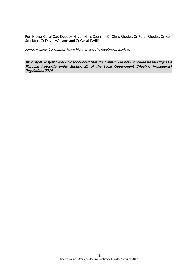For: Mayor Carol Cox, Deputy Mayor Marc Cobham, Cr Chris Rhodes, Cr Peter Rhodes, Cr Ken Stockton, Cr David Williams and Cr Gerald Willis.

James Ireland, Consultant Town Planner, left the meeting at 2.34pm.

At 2.34pm, Mayor Carol Cox announced that the Council will now conclude its meeting as a Planning Authority under Section 25 of the Local Government (Meeting Procedures) Regulations 2015.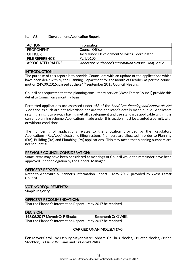#### Item A3: Development Application Report

| <b>ACTION</b>            | Information                                         |
|--------------------------|-----------------------------------------------------|
| <b>PROPONENT</b>         | Council Officer                                     |
| <b>OFFICER</b>           | Jacci Viney, Development Services Coordinator       |
| <b>FILE REFERENCE</b>    | PLN/0105                                            |
| <b>ASSOCIATED PAPERS</b> | Annexure 6: Planner's Information Report - May 2017 |

#### INTRODUCTION:

The purpose of this report is to provide Councillors with an update of the applications which have been dealt with by the Planning Department for the month of October as per the council motion 249.09.2015, passed at the 24<sup>th</sup> September 2015 Council Meeting.

Council has requested that the planning consultancy service (West Tamar Council) provide this detail to Council on a monthly basis.

Permitted applications are assessed under s58 of the *Land Use Planning and Approvals Act* 1993 and as such are not advertised nor are the applicant's details made public. Applicants retain the right to privacy having met all development and use standards applicable within the current planning scheme. Applications made under this section must be granted a permit, with or without conditions.

The numbering of applications relates to the allocation provided by the 'Regulatory Applications' (RegApps) electronic filing system. Numbers are allocated in order to Planning (DA), Building (BA) and Plumbing (PA) applications. This may mean that planning numbers are not sequential.

#### PREVIOUS COUNCIL CONSIDERATION:

Some items may have been considered at meetings of Council while the remainder have been approved under delegation by the General Manager.

#### OFFICER'S REPORT:

Refer to Annexure 6 Planner's Information Report – May 2017, provided by West Tamar Council.

#### VOTING REQUIREMENTS:

Simple Majority

#### OFFICER'S RECOMMENDATION:

That the Planner's Information Report – May 2017 be received.

#### DECISION:

143.06.2017 Moved: Cr P Rhodes Seconded: Cr G Willis That the Planner's Information Report – May 2017 be received.

# CARRIED UNANIMOUSLY (7-0)

For: Mayor Carol Cox, Deputy Mayor Marc Cobham, Cr Chris Rhodes, Cr Peter Rhodes, Cr Ken Stockton, Cr David Williams and Cr Gerald Willis.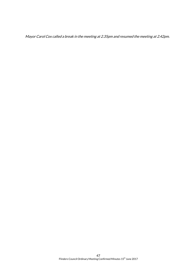Mayor Carol Cox called a break in the meeting at 2.35pm and resumed the meeting at 2.42pm.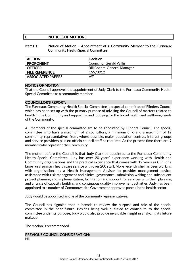### B. NOTICES OF MOTIONS

#### Item B1: Notice of Motion – Appointment of a Community Member to the Furneaux Community Health Special Committee

| <b>ACTION</b>            | Decision                        |
|--------------------------|---------------------------------|
| <b>PROPONENT</b>         | <b>Councillor Gerald Willis</b> |
| <b>OFFICER</b>           | Bill Boehm, General Manager     |
| <b>FILE REFERENCE</b>    | CSV/0912                        |
| <b>ASSOCIATED PAPERS</b> | Nil                             |

#### NOTICE OF MOTION:

That the Council approves the appointment of Judy Clark to the Furneaux Community Health Special Committee as a community member.

#### COUNCILLOR'S REPORT:

The Furneaux Community Health Special Committee is a special committee of Flinders Council which has been set up with the primary purpose of advising the Council of matters related to health in the Community and supporting and lobbying for the broad health and wellbeing needs of the Community.

All members of the special committee are to be appointed by Flinders Council. The special committee is to have a maximum of 2 councillors, a minimum of 6 and a maximum of 12 community representatives from, where possible, major population centres, interest groups and service providers plus ex-officio council staff as required. At the present time there are 9 members who represent the Community.

The motion before the Council is that Judy Clark be appointed to the Furneaux Community Health Special Committee. Judy has over 20 years' experience working with Health and Community organisations and the practical experience that comes with 12 years as CEO of a large rural primary health care service with over 200 staff. More recently she has been working with organisations as a Health Management Advisor to provide: management advice; assistance with risk management and clinical governance; submission writing and subsequent project planning and implementation; facilitation and support for services with their planning and a range of capacity building and continuous quality improvement activities. Judy has been appointed to a number of Commonwealth Government approved panels in the health sector.

Judy would be appointed as one of the community representatives.

The Council has signaled that it intends to review the purpose and role of the special committee in the near future. Besides being well qualified to contribute to the special committee under its purpose, Judy would also provide invaluable insight in analyzing its future makeup.

The motion is recommended.

# PREVIOUS COUNCIL CONSIDERATION:

Nil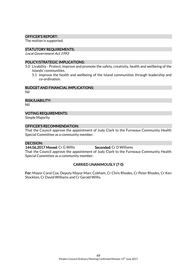#### OFFICER'S REPORT:

The motion is supported.

#### STATUTORY REQUIREMENTS:

Local Government Act 1993

# POLICY/STRATEGIC IMPLICATIONS:

- 5.0 Livability Protect, improve and promote the safety, creativity, health and wellbeing of the Islands' communities.
	- 5.1 Improve the health and wellbeing of the Island communities through leadership and co-ordination.

#### BUDGET AND FINANCIAL IMPLICATIONS:

Nil

RISK/LIABILITY:

Nil

#### VOTING REQUIREMENTS:

Simple Majority

#### OFFICER'S RECOMMENDATION:

That the Council approve the appointment of Judy Clark to the Furneaux Community Health Special Committee as a community member.

## DECISION:

144.06.2017 Moved: Cr G Willis Seconded: Cr D Williams

That the Council approve the appointment of Judy Clark to the Furneaux Community Health Special Committee as a community member.

# CARRIED UNANIMOUSLY (7-0)

For: Mayor Carol Cox, Deputy Mayor Marc Cobham, Cr Chris Rhodes, Cr Peter Rhodes, Cr Ken Stockton, Cr David Williams and Cr Gerald Willis.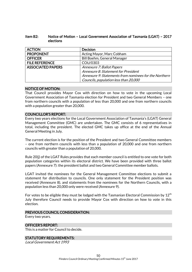# Item B2: Notice of Motion – Local Government Association of Tasmania (LGAT) – 2017 elections

| <b>ACTION</b>            | <b>Decision</b>                                       |
|--------------------------|-------------------------------------------------------|
| <b>PROPONENT</b>         | Acting Mayor, Marc Cobham                             |
| <b>OFFICER</b>           | <b>Bill Boehm, General Manager</b>                    |
| <b>FILE REFERENCE</b>    | COU/0303                                              |
| <b>ASSOCIATED PAPERS</b> | Annexure 7: Ballot Papers                             |
|                          | Annexure 8: Statement for President                   |
|                          | Annexure 9: Statements from nominees for the Northern |
|                          | Councils, population less than 20,000                 |

#### NOTICE OF MOTION:

That Council provides Mayor Cox with direction on how to vote in the upcoming Local Government Association of Tasmania election for President and two General Members – one from northern councils with a population of less than 20,000 and one from northern councils with a population greater than 20,000.

# COUNCILLOR'S REPORT:

Every two years elections for the Local Government Association of Tasmania's (LGAT) General Management Committee (GMC) are undertaken. The GMC consists of 6 representatives in total, including the president. The elected GMC takes up office at the end of the Annual General Meeting in July.

The current election is for the position of the President and two General Committee members – one from northern councils with less than a population of 20,000 and one from northern councils with greater than a population of 20,000.

Rule 20(j) of the LGAT Rules provides that each member council is entitled to one vote for both population categories within its electoral district. We have been provided with three ballot papers (Annexure 7): the president ballot and two General Committee member ballots.

LGAT invited the nominees for the General Management Committee elections to submit a statement for distribution to councils. One only statement for the President position was received (Annexure 8), and statements from the nominees for the Northern Councils, with a population less than 20,000 only were received (Annexure 9).

For votes to be eligible they must be lodged with the Tasmanian Electoral Commission by  $12<sup>th</sup>$ July therefore Council needs to provide Mayor Cox with direction on how to vote in this election.

#### PREVIOUS COUNCIL CONSIDERATION:

Every two years.

# OFFICER'S REPORT:

This is a matter for Council to decide.

#### STATUTORY REQUIREMENTS:

Local Government Act 1993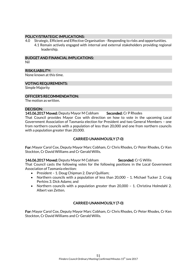#### POLICY/STRATEGIC IMPLICATIONS:

4.0 Strategic, Efficient and Effective Organisation - Responding to risks and opportunities. 4.1 Remain actively engaged with internal and external stakeholders providing regional leadership.

BUDGET AND FINANCIAL IMPLICATIONS:

Nil

#### RISK/LIABILITY:

None known at this time.

#### VOTING REQUIREMENTS:

Simple Majority

#### OFFICER'S RECOMMENDATION:

The motion as written.

#### DECISION:

145.06.2017 Moved: Deputy Mayor M Cobham Seconded: Cr P Rhodes

That Council provides Mayor Cox with direction on how to vote in the upcoming Local Government Association of Tasmania election for President and two General Members – one from northern councils with a population of less than 20,000 and one from northern councils with a population greater than 20,000.

# CARRIED UNANIMOUSLY (7-0)

For: Mayor Carol Cox, Deputy Mayor Marc Cobham, Cr Chris Rhodes, Cr Peter Rhodes, Cr Ken Stockton, Cr David Williams and Cr Gerald Willis.

#### 146.06.2017 Moved: Deputy Mayor M Cobham Seconded: Cr G Willis

That Council casts the following votes for the following positions in the Local Government Association of Tasmania election:

- President 1. Doug Chipman 2. Daryl Quilliam;
- Northern councils with a population of less than 20,000 1. Michael Tucker 2. Craig Perkins 3. Dick Adams; and
- Northern councils with a population greater than 20,000 1. Christina Holmdahl 2. Albert van Zetten.

# CARRIED UNANIMOUSLY (7-0)

For: Mayor Carol Cox, Deputy Mayor Marc Cobham, Cr Chris Rhodes, Cr Peter Rhodes, Cr Ken Stockton, Cr David Williams and Cr Gerald Willis.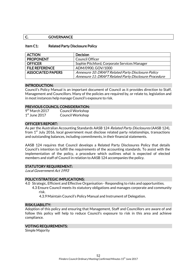### C. GOVERNANCE

#### Item C1: Related Party Disclosure Policy

| <b>ACTION</b>            | <b>Decision</b>                                       |
|--------------------------|-------------------------------------------------------|
| <b>PROPONENT</b>         | Council Officer                                       |
| <b>OFFICER</b>           | Sophie Pitchford, Corporate Services Manager          |
| <b>FILE REFERENCE</b>    | ADM/0900, GOV/1000                                    |
| <b>ASSOCIATED PAPERS</b> | Annexure 10: DRAFT Related Party Disclosure Policy    |
|                          | Annexure 11: DRAFT Related Party Disclosure Procedure |

#### INTRODUCTION:

Council's Policy Manual is an important document of Council as it provides direction to Staff, Management and Councillors. Many of the policies are required by, or relate to, legislation and in most instances help manage Council's exposure to risk.

#### PREVIOUS COUNCIL CONSIDERATION:

| $9th$ March 2017 | <b>Council Workshop</b> |
|------------------|-------------------------|
| $1st$ June 2017  | <b>Council Workshop</b> |

#### OFFICER'S REPORT:

As per the Australian Accounting Standards AASB 124 Related Party Disclosures (AASB 124), from  $1<sup>st</sup>$  July 2016, local government must disclose related party relationships, transactions and outstanding balances, including commitments, in their financial statements.

AASB 124 requires that Council develops a Related Party Disclosures Policy that details Council's intention to fulfill the requirements of the accounting standards. To assist with the implementation of the policy, a procedure which outlines what is expected of elected members and staff of Council in relation to AASB 124 accompanies the policy.

#### STATUTORY REQUIREMENT:

Local Government Act 1993

#### POLICY/STRATEGIC IMPLICATIONS:

- 4.0 Strategic, Efficient and Effective Organisation Responding to risks and opportunities.
	- 4.3 Ensure Council meets its statutory obligations and manages corporate and community risk.

4.3.9 Maintain Council's Policy Manual and Instrument of Delegation.

#### RISK/LIABILITY:

Adoption of this policy and ensuring that Management, Staff and Councillors are aware of and follow this policy will help to reduce Council's exposure to risk in this area and achieve compliance.

#### VOTING REQUIREMENTS:

Simple Majority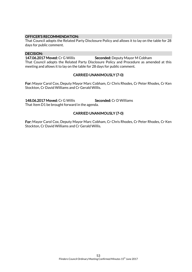#### OFFICER'S RECOMMENDATION:

That Council adopts the Related Party Disclosure Policy and allows it to lay on the table for 28 days for public comment.

#### DECISION:

147.06.2017 Moved: Cr G Willis Seconded: Deputy Mayor M Cobham That Council adopts the Related Party Disclosure Policy and Procedure as amended at this meeting and allows it to lay on the table for 28 days for public comment.

# CARRIED UNANIMOUSLY (7-0)

For: Mayor Carol Cox, Deputy Mayor Marc Cobham, Cr Chris Rhodes, Cr Peter Rhodes, Cr Ken Stockton, Cr David Williams and Cr Gerald Willis.

148.06.2017 Moved: Cr G Willis Seconded: Cr D Williams That Item D1 be brought forward in the agenda.

# CARRIED UNANIMOUSLY (7-0)

For: Mayor Carol Cox, Deputy Mayor Marc Cobham, Cr Chris Rhodes, Cr Peter Rhodes, Cr Ken Stockton, Cr David Williams and Cr Gerald Willis.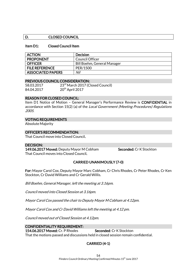# D. CLOSED COUNCIL

#### Item D1: Closed Council Item

| <b>ACTION</b>            | <b>Decision</b>             |
|--------------------------|-----------------------------|
| <b>PROPONENT</b>         | Council Officer             |
| <b>OFFICER</b>           | Bill Boehm, General Manager |
| <b>FILE REFERENCE</b>    | PFR/1500                    |
| <b>ASSOCIATED PAPERS</b> | Nil                         |

#### PREVIOUS COUNCIL CONSIDERATION:

58.03.2017 23rd March 2017 (Closed Council) 84.04.2017 20<sup>th</sup> April 2017

#### REASON FOR CLOSED COUNCIL:

Item D1 Notice of Motion - General Manager's Performance Review is CONFIDENTIAL in accordance with Section 15(2) (a) of the Local Government (Meeting Procedures) Regulations 2005.

#### VOTING REQUIREMENTS

Absolute Majority

#### OFFICER'S RECOMMENDATION:

That Council move into Closed Council.

#### DECISION:

149.06.2017 Moved: Deputy Mayor M Cobham Seconded: Cr K Stockton That Council moves into Closed Council.

# CARRIED UNANIMOUSLY (7-0)

For: Mayor Carol Cox, Deputy Mayor Marc Cobham, Cr Chris Rhodes, Cr Peter Rhodes, Cr Ken Stockton, Cr David Williams and Cr Gerald Willis.

Bill Boehm, General Manager, left the meeting at 3.16pm.

Council moved into Closed Session at 3.16pm.

Mayor Carol Cox passed the chair to Deputy Mayor M Cobham at 4.12pm.

Mayor Carol Cox and Cr David Williams left the meeting at 4.12 pm.

Council moved out of Closed Session at 4.12pm.

#### CONFIDENTIALITY REQUIREMENT:

154.06.2017 Moved: Cr. P Rhodes Seconded: Cr K Stockton

That the motions passed and discussions held in closed session remain confidential.

# CARRIED (4-1)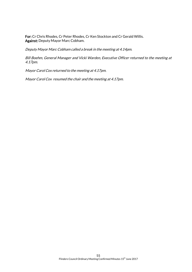For: Cr Chris Rhodes, Cr Peter Rhodes, Cr Ken Stockton and Cr Gerald Willis. Against: Deputy Mayor Marc Cobham.

Deputy Mayor Marc Cobham called a break in the meeting at 4.14pm.

Bill Boehm, General Manager and Vicki Warden, Executive Officer returned to the meeting at 4.17pm.

Mayor Carol Cox returned to the meeting at 4.17pm.

Mayor Carol Cox resumed the chair and the meeting at 4.17pm.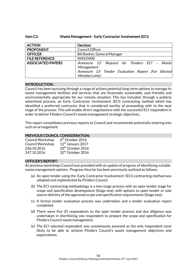#### Item C2: Waste Management - Early Contractor Involvement (ECI)

| <b>ACTION</b>            | <b>Decision</b>                                     |  |
|--------------------------|-----------------------------------------------------|--|
| <b>PROPONENT</b>         | Council Officer                                     |  |
| <b>OFFICER</b>           | Bill Boehm, General Manager                         |  |
| <b>FILE REFERENCE</b>    | WAS/0400                                            |  |
| <b>ASSOCIATED PAPERS</b> | Annexure 12: Request for Tenders ECI - Waste        |  |
|                          | Management                                          |  |
|                          | Annexure 13: Tender Evaluation Report (For Elected) |  |
|                          | Members only)                                       |  |

# INTRODUCTION:

Council has been pursuing through a range of actions potential long-term options to manage its waste management facilities and services that are financially sustainable, user-friendly and environmentally appropriate for our remote situation. This has included, through a publicly advertised process, an Early Contractor Involvement (ECI) contracting method which has identified a preferred contractor that is considered worthy of proceeding with to the next stage of the process. This will enable direct negotiations with the successful ECI respondent in order to deliver Flinders Council's waste management strategic objectives.

This report consolidates previous reports to Council and recommends potentially entering into such an arrangement.

#### PREVIOUS COUNCIL CONSIDERATION:

| Council Workshop        | $6th$ October 2016            |
|-------------------------|-------------------------------|
| <b>Council Workshop</b> | 12 <sup>th</sup> January 2017 |
| 246.10.2016             | 20 <sup>th</sup> October 2016 |
| 247.10.2016             | 20 <sup>th</sup> October 2016 |

#### OFFICER'S REPORT:

At previous workshops Council was provided with an update of progress of identifying suitable waste management options. Progress thus far has been previously outlined as follows:

- (a) An open tender using the 'Early Contractor Involvement' (ECI) contracting method was adopted and implemented by Flinders Council.
- (b) The ECI contracting methodology is a two-stage process with an open tender stage for scope and specification development (Stage one), with options to open tender or sole source delivery of the approved scope and specification requirements (Stage two).
- (c) A formal tender evaluation process was undertaken and a tender evaluation report completed.
- (d) There were five (5) respondents to the open tender process and due diligence was undertaken in shortlisting one respondent to prepare the scope and specification for Flinders Council waste management.
- (e) The ECI selected respondent was unanimously assessed as the only respondent most likely to be able to achieve Flinders Council's waste management objectives and expectations.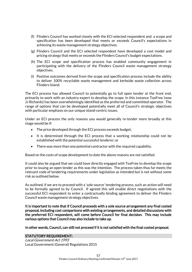- (f) Flinders Council has worked closely with the ECI selected respondent and a scope and specification has been developed that meets or exceeds Council's expectations in achieving its waste management strategy objectives.
- (g) Flinders Council and the ECI selected respondent have developed a cost model and pricing strategy that meets or exceeds the Flinders Council's budget expectations.
- (h) The ECI scope and specification process has enabled community engagement in participating with the delivery of the Flinders Council waste management strategy objectives.
- (i) Positive outcomes derived from the scope and specification process include the ability to deliver 100% recyclable waste management and kerbside waste collection across Flinders Island.

The ECI process has allowed Council to potentially go to full open tender at the front end, primarily to work with an industry expert to develop the scope. In this instance ToxFree (now JJ Richards) has been overwhelmingly identified as the preferred and committed operator. The range of options that can be developed potentially meet all of Council's strategic objectives with particular emphasis on our unique island-centric issues.

Under an ECI process the only reasons you would generally re-tender more broadly at this stage would be if:

- The price developed through the ECI process exceeds budget;
- It is determined through the ECI process that a working relationship could not be established with the potential successful tenderer; or
- There was more than one potential contractor with the required capability.

Based on the costs of scope development to date the above reasons are not satisfied.

It could also be argued that we could have directly engaged with ToxFree to develop the scope prior to issuing an open tender as this was the intention. The process taken thus far meets the relevant code of tendering requirements under legislation as intended but is not without some risk as outlined below.

As outlined, if we are to proceed with a 'sole source' tendering process, such an action will need to be formally agreed to by Council. If agreed this will enable direct negotiations with the successful ECI respondent to enter a contractually binding agreement to deliver the Flinders Council waste management strategy objectives.

It is important to note that if Council proceeds with a sole source arrangement any final costed proposal, including cost comparisons with existing arrangements, and detailed discussions with the preferred ECI respondent, will come before Council for final decision. This may include various options that Council may also include to take up.

In other words, Council, can still not proceed if it is not satisfied with the final costed proposal.

# STATUTORY REQUIREMENT:

Local Government Act 1993 Local Government (General) Regulations 2015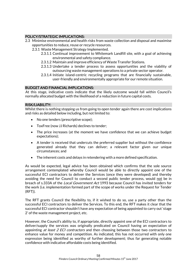# POLICY/STRATEGIC IMPLICATIONS:

- 2.3 Minimise environmental and health risks from waste collection and disposal and maximise opportunities to reduce, reuse or recycle resources.
	- 2.3.1 Waste Management Strategy Implemented.
		- 2.3.1.1 Continual improvement to Whitemark Landfill site, with a goal of achieving environmental and safety compliance.
		- 2.3.1.2 Maintain and improve efficiency of Waste Transfer Stations.
		- 2.3.1.3 Undertake a tender process to assess opportunities and the viability of outsourcing waste management operations to a private sector operator.
		- 2.3.1.4 Initiate island-centric recycling programs that are financially sustainable, user-friendly and environmentally appropriate for our remote situation.

# BUDGET AND FINANCIAL IMPLICATIONS:

At this stage, indicative costs indicate that the likely outcome would fall within Council's normally allocated budget with the likelihood of a reduction in future capital costs.

#### RISK/LIABILITY:

Whilst there is nothing stopping us from going to open tender again there are cost implications and risks as detailed below including, but not limited to:

- No one tenders (prescriptive scope);
- ToxFree (now JJ Richards) declines to tender;
- The price increases (at the moment we have confidence that we can achieve budget expectations);
- A tender is received that undercuts the preferred supplier but without the confidence generated already that they can deliver; a relevant factor given our unique circumstances; and
- The inherent costs and delays in retendering with a more defined specification.

As would be expected, legal advice has been obtained which confirms that the sole source arrangement contemplated whereby Council would be able to directly appoint one of the successful ECI contractors to deliver the Services (once they were developed) and thereby avoiding the need for Council to conduct a second public tender process, would not be in breach of s.333A of the *Local Government Act* 1993 because Council has invited tenders for the work (i.e. implementation formed part of the scope of works under the Request for Tender (RFT)).

The RFT grants Council the flexibility to, if it wished to do so, use a party other than the successful ECI contractors to deliver the Services. To this end, the RFT makes it clear that the successful ECI contractor shouldn't have any expectation of being appointed to carry out 'stage 2' of the waste management project, etc.

However, the Council's ability to, if appropriate, directly appoint one of the ECI contractors to deliver/supply the services was originally predicated on Council having an expectation of appointing *at least 2 ECI contractors* and then choosing between those two contractors to enhance value for money and competition. As indicated, this has not occurred with only one expression being identified as worthy of further development; thus far generating notable confidence with indicative affordable costs being identified.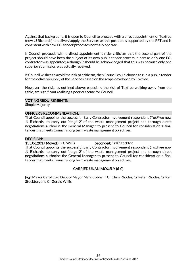Against that background, it is open to Council to proceed with a direct appointment of Toxfree (now JJ Richards) to deliver/supply the Services as this position is supported by the RFT and is consistent with how ECI tender processes normally operate.

If Council proceeds with a direct appointment it risks criticism that the second part of the project should have been the subject of its own public tender process in part as only one ECI contractor was appointed; although it should be acknowledged that this was because only one superior submission was actually received.

If Council wishes to avoid the risk of criticism, then Council could choose to run a public tender for the delivery/supply of the Services based on the scope developed by Toxfree.

However, the risks as outlined above; especially the risk of Toxfree walking away from the table, are significant realising a poor outcome for Council.

#### VOTING REQUIREMENTS:

Simple Majority

#### OFFICER'S RECOMMENDATION:

That Council appoints the successful Early Contractor Involvement respondent (ToxFree now JJ Richards) to carry out 'stage 2' of the waste management project and through direct negotiations authorise the General Manager to present to Council for consideration a final tender that meets Council's long term waste management objectives.

#### DECISION:

#### 155.06.2017 Moved: Cr G Willis Seconded: Cr K Stockton

That Council appoints the successful Early Contractor Involvement respondent (ToxFree now JJ Richards) to carry out 'stage 2' of the waste management project and through direct negotiations authorise the General Manager to present to Council for consideration a final tender that meets Council's long term waste management objectives.

#### CARRIED UNANIMOUSLY (6-0)

For: Mayor Carol Cox, Deputy Mayor Marc Cobham, Cr Chris Rhodes, Cr Peter Rhodes, Cr Ken Stockton, and Cr Gerald Willis.